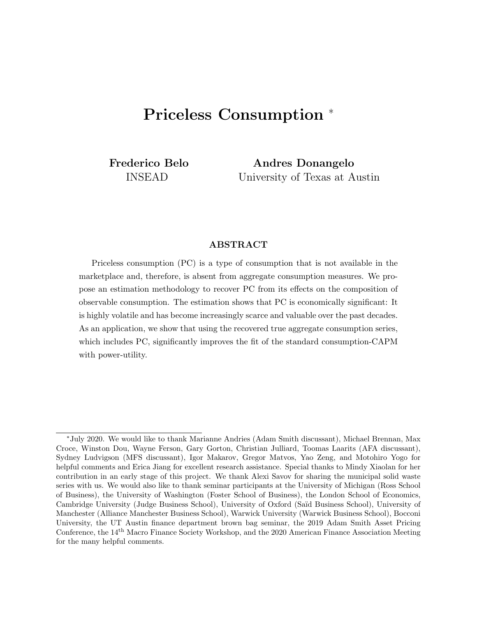# Priceless Consumption <sup>∗</sup>

Frederico Belo INSEAD

Andres Donangelo University of Texas at Austin

### ABSTRACT

Priceless consumption (PC) is a type of consumption that is not available in the marketplace and, therefore, is absent from aggregate consumption measures. We propose an estimation methodology to recover PC from its effects on the composition of observable consumption. The estimation shows that PC is economically significant: It is highly volatile and has become increasingly scarce and valuable over the past decades. As an application, we show that using the recovered true aggregate consumption series, which includes PC, significantly improves the fit of the standard consumption-CAPM with power-utility.

<sup>∗</sup>July 2020. We would like to thank Marianne Andries (Adam Smith discussant), Michael Brennan, Max Croce, Winston Dou, Wayne Ferson, Gary Gorton, Christian Julliard, Toomas Laarits (AFA discussant), Sydney Ludvigson (MFS discussant), Igor Makarov, Gregor Matvos, Yao Zeng, and Motohiro Yogo for helpful comments and Erica Jiang for excellent research assistance. Special thanks to Mindy Xiaolan for her contribution in an early stage of this project. We thank Alexi Savov for sharing the municipal solid waste series with us. We would also like to thank seminar participants at the University of Michigan (Ross School of Business), the University of Washington (Foster School of Business), the London School of Economics, Cambridge University (Judge Business School), University of Oxford (Saïd Business School), University of Manchester (Alliance Manchester Business School), Warwick University (Warwick Business School), Bocconi University, the UT Austin finance department brown bag seminar, the 2019 Adam Smith Asset Pricing Conference, the 14th Macro Finance Society Workshop, and the 2020 American Finance Association Meeting for the many helpful comments.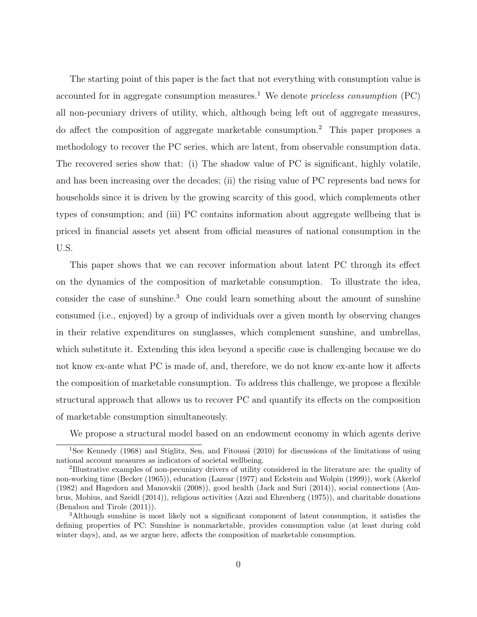The starting point of this paper is the fact that not everything with consumption value is accounted for in aggregate consumption measures.<sup>[1](#page-1-0)</sup> We denote *priceless consumption*  $(PC)$ all non-pecuniary drivers of utility, which, although being left out of aggregate measures, do affect the composition of aggregate marketable consumption.[2](#page-1-1) This paper proposes a methodology to recover the PC series, which are latent, from observable consumption data. The recovered series show that: (i) The shadow value of PC is significant, highly volatile, and has been increasing over the decades; (ii) the rising value of PC represents bad news for households since it is driven by the growing scarcity of this good, which complements other types of consumption; and (iii) PC contains information about aggregate wellbeing that is priced in financial assets yet absent from official measures of national consumption in the U.S.

This paper shows that we can recover information about latent PC through its effect on the dynamics of the composition of marketable consumption. To illustrate the idea, consider the case of sunshine.<sup>[3](#page-1-2)</sup> One could learn something about the amount of sunshine consumed (i.e., enjoyed) by a group of individuals over a given month by observing changes in their relative expenditures on sunglasses, which complement sunshine, and umbrellas, which substitute it. Extending this idea beyond a specific case is challenging because we do not know ex-ante what PC is made of, and, therefore, we do not know ex-ante how it affects the composition of marketable consumption. To address this challenge, we propose a flexible structural approach that allows us to recover PC and quantify its effects on the composition of marketable consumption simultaneously.

<span id="page-1-0"></span>We propose a structural model based on an endowment economy in which agents derive

<sup>&</sup>lt;sup>1</sup>See [Kennedy](#page-40-0) [\(1968\)](#page-40-0) and [Stiglitz, Sen, and Fitoussi](#page-40-1) [\(2010\)](#page-40-1) for discussions of the limitations of using national account measures as indicators of societal wellbeing.

<span id="page-1-1"></span><sup>&</sup>lt;sup>2</sup>Illustrative examples of non-pecuniary drivers of utility considered in the literature are: the quality of non-working time [\(Becker](#page-38-0) [\(1965\)](#page-38-0)), education [\(Lazear](#page-40-2) [\(1977\)](#page-40-2) and [Eckstein and Wolpin](#page-39-0) [\(1999\)](#page-39-0)), work [\(Akerlof](#page-38-1) [\(1982\)](#page-38-1) and [Hagedorn and Manovskii](#page-40-3) [\(2008\)](#page-40-3)), good health [\(Jack and Suri](#page-40-4) [\(2014\)](#page-40-4)), social connections [\(Am](#page-38-2)[brus, Mobius, and Szeidl](#page-38-2) [\(2014\)](#page-38-2)), religious activities [\(Azzi and Ehrenberg](#page-38-3) [\(1975\)](#page-38-3)), and charitable donations [\(Benabou and Tirole](#page-38-4) [\(2011\)](#page-38-4)).

<span id="page-1-2"></span><sup>3</sup>Although sunshine is most likely not a significant component of latent consumption, it satisfies the defining properties of PC: Sunshine is nonmarketable, provides consumption value (at least during cold winter days), and, as we argue here, affects the composition of marketable consumption.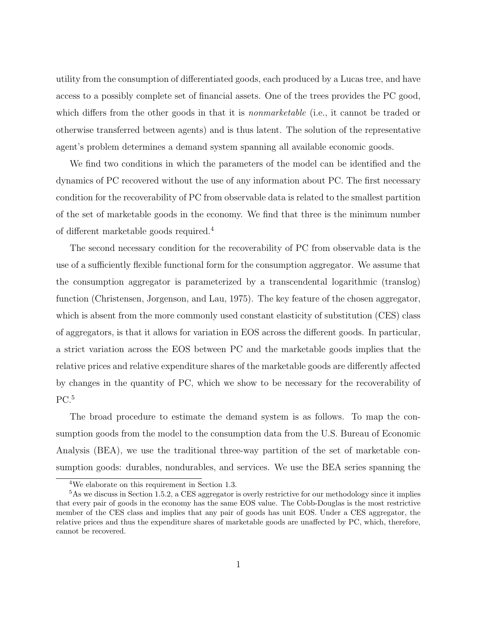utility from the consumption of differentiated goods, each produced by a Lucas tree, and have access to a possibly complete set of financial assets. One of the trees provides the PC good, which differs from the other goods in that it is *nonmarketable* (i.e., it cannot be traded or otherwise transferred between agents) and is thus latent. The solution of the representative agent's problem determines a demand system spanning all available economic goods.

We find two conditions in which the parameters of the model can be identified and the dynamics of PC recovered without the use of any information about PC. The first necessary condition for the recoverability of PC from observable data is related to the smallest partition of the set of marketable goods in the economy. We find that three is the minimum number of different marketable goods required.[4](#page-2-0)

The second necessary condition for the recoverability of PC from observable data is the use of a sufficiently flexible functional form for the consumption aggregator. We assume that the consumption aggregator is parameterized by a transcendental logarithmic (translog) function [\(Christensen, Jorgenson, and Lau,](#page-39-1) [1975\)](#page-39-1). The key feature of the chosen aggregator, which is absent from the more commonly used constant elasticity of substitution (CES) class of aggregators, is that it allows for variation in EOS across the different goods. In particular, a strict variation across the EOS between PC and the marketable goods implies that the relative prices and relative expenditure shares of the marketable goods are differently affected by changes in the quantity of PC, which we show to be necessary for the recoverability of  $PC.<sub>5</sub>$  $PC.<sub>5</sub>$  $PC.<sub>5</sub>$ 

The broad procedure to estimate the demand system is as follows. To map the consumption goods from the model to the consumption data from the U.S. Bureau of Economic Analysis (BEA), we use the traditional three-way partition of the set of marketable consumption goods: durables, nondurables, and services. We use the BEA series spanning the

<span id="page-2-1"></span><span id="page-2-0"></span><sup>4</sup>We elaborate on this requirement in Section [1.3.](#page-9-0)

<sup>&</sup>lt;sup>5</sup>As we discuss in Section [1.5.2,](#page-16-0) a CES aggregator is overly restrictive for our methodology since it implies that every pair of goods in the economy has the same EOS value. The Cobb-Douglas is the most restrictive member of the CES class and implies that any pair of goods has unit EOS. Under a CES aggregator, the relative prices and thus the expenditure shares of marketable goods are unaffected by PC, which, therefore, cannot be recovered.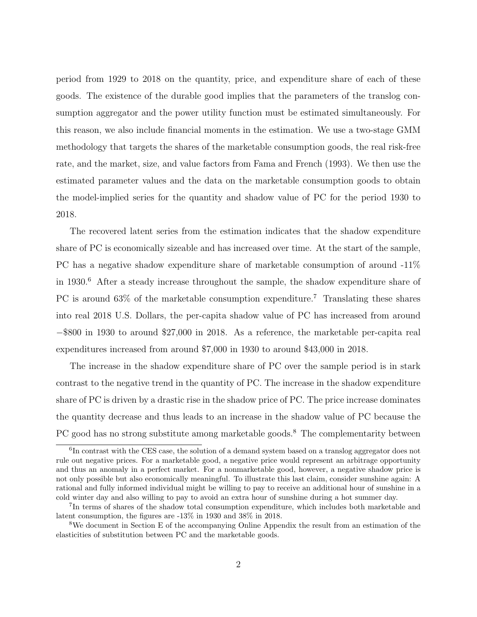period from 1929 to 2018 on the quantity, price, and expenditure share of each of these goods. The existence of the durable good implies that the parameters of the translog consumption aggregator and the power utility function must be estimated simultaneously. For this reason, we also include financial moments in the estimation. We use a two-stage GMM methodology that targets the shares of the marketable consumption goods, the real risk-free rate, and the market, size, and value factors from [Fama and French](#page-40-5) [\(1993\)](#page-40-5). We then use the estimated parameter values and the data on the marketable consumption goods to obtain the model-implied series for the quantity and shadow value of PC for the period 1930 to 2018.

The recovered latent series from the estimation indicates that the shadow expenditure share of PC is economically sizeable and has increased over time. At the start of the sample, PC has a negative shadow expenditure share of marketable consumption of around -11% in  $1930.6$  $1930.6$  After a steady increase throughout the sample, the shadow expenditure share of PC is around 63\% of the marketable consumption expenditure.<sup>[7](#page-3-1)</sup> Translating these shares into real 2018 U.S. Dollars, the per-capita shadow value of PC has increased from around −\$800 in 1930 to around \$27,000 in 2018. As a reference, the marketable per-capita real expenditures increased from around \$7,000 in 1930 to around \$43,000 in 2018.

The increase in the shadow expenditure share of PC over the sample period is in stark contrast to the negative trend in the quantity of PC. The increase in the shadow expenditure share of PC is driven by a drastic rise in the shadow price of PC. The price increase dominates the quantity decrease and thus leads to an increase in the shadow value of PC because the PC good has no strong substitute among marketable goods.<sup>[8](#page-3-2)</sup> The complementarity between

<span id="page-3-0"></span><sup>&</sup>lt;sup>6</sup>In contrast with the CES case, the solution of a demand system based on a translog aggregator does not rule out negative prices. For a marketable good, a negative price would represent an arbitrage opportunity and thus an anomaly in a perfect market. For a nonmarketable good, however, a negative shadow price is not only possible but also economically meaningful. To illustrate this last claim, consider sunshine again: A rational and fully informed individual might be willing to pay to receive an additional hour of sunshine in a cold winter day and also willing to pay to avoid an extra hour of sunshine during a hot summer day.

<span id="page-3-1"></span><sup>&</sup>lt;sup>7</sup>In terms of shares of the shadow total consumption expenditure, which includes both marketable and latent consumption, the figures are -13% in 1930 and 38% in 2018.

<span id="page-3-2"></span><sup>8</sup>We document in Section E of the accompanying Online Appendix the result from an estimation of the elasticities of substitution between PC and the marketable goods.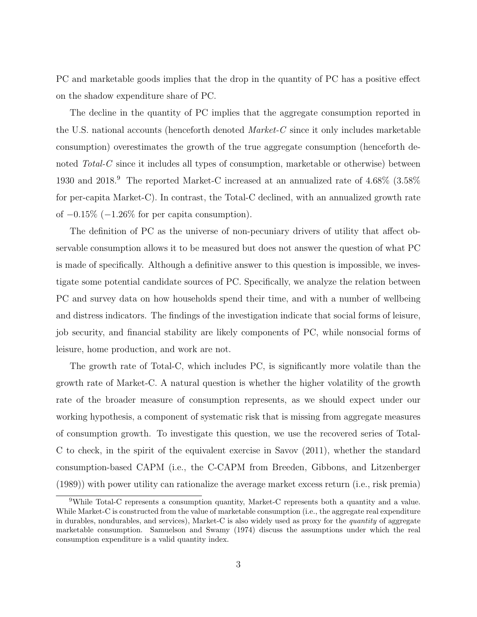PC and marketable goods implies that the drop in the quantity of PC has a positive effect on the shadow expenditure share of PC.

The decline in the quantity of PC implies that the aggregate consumption reported in the U.S. national accounts (henceforth denoted  $Market-C$  since it only includes marketable consumption) overestimates the growth of the true aggregate consumption (henceforth denoted Total-C since it includes all types of consumption, marketable or otherwise) between 1930 and 2018.[9](#page-4-0) The reported Market-C increased at an annualized rate of 4.68% (3.58% for per-capita Market-C). In contrast, the Total-C declined, with an annualized growth rate of −0.15% (−1.26% for per capita consumption).

The definition of PC as the universe of non-pecuniary drivers of utility that affect observable consumption allows it to be measured but does not answer the question of what PC is made of specifically. Although a definitive answer to this question is impossible, we investigate some potential candidate sources of PC. Specifically, we analyze the relation between PC and survey data on how households spend their time, and with a number of wellbeing and distress indicators. The findings of the investigation indicate that social forms of leisure, job security, and financial stability are likely components of PC, while nonsocial forms of leisure, home production, and work are not.

The growth rate of Total-C, which includes PC, is significantly more volatile than the growth rate of Market-C. A natural question is whether the higher volatility of the growth rate of the broader measure of consumption represents, as we should expect under our working hypothesis, a component of systematic risk that is missing from aggregate measures of consumption growth. To investigate this question, we use the recovered series of Total-C to check, in the spirit of the equivalent exercise in [Savov](#page-40-6) [\(2011\)](#page-40-6), whether the standard consumption-based CAPM (i.e., the C-CAPM from [Breeden, Gibbons, and Litzenberger](#page-38-5) [\(1989\)](#page-38-5)) with power utility can rationalize the average market excess return (i.e., risk premia)

<span id="page-4-0"></span><sup>9</sup>While Total-C represents a consumption quantity, Market-C represents both a quantity and a value. While Market-C is constructed from the value of marketable consumption (i.e., the aggregate real expenditure in durables, nondurables, and services), Market-C is also widely used as proxy for the quantity of aggregate marketable consumption. [Samuelson and Swamy](#page-40-7) [\(1974\)](#page-40-7) discuss the assumptions under which the real consumption expenditure is a valid quantity index.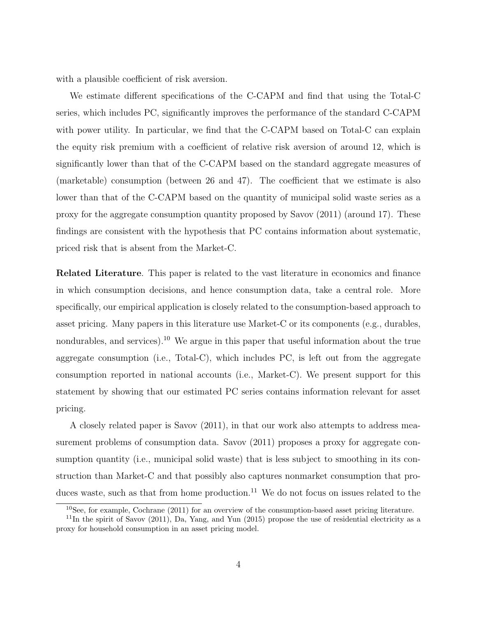with a plausible coefficient of risk aversion.

We estimate different specifications of the C-CAPM and find that using the Total-C series, which includes PC, significantly improves the performance of the standard C-CAPM with power utility. In particular, we find that the C-CAPM based on Total-C can explain the equity risk premium with a coefficient of relative risk aversion of around 12, which is significantly lower than that of the C-CAPM based on the standard aggregate measures of (marketable) consumption (between 26 and 47). The coefficient that we estimate is also lower than that of the C-CAPM based on the quantity of municipal solid waste series as a proxy for the aggregate consumption quantity proposed by [Savov](#page-40-6) [\(2011\)](#page-40-6) (around 17). These findings are consistent with the hypothesis that PC contains information about systematic, priced risk that is absent from the Market-C.

Related Literature. This paper is related to the vast literature in economics and finance in which consumption decisions, and hence consumption data, take a central role. More specifically, our empirical application is closely related to the consumption-based approach to asset pricing. Many papers in this literature use Market-C or its components (e.g., durables, nondurables, and services).<sup>[10](#page-5-0)</sup> We argue in this paper that useful information about the true aggregate consumption (i.e., Total-C), which includes PC, is left out from the aggregate consumption reported in national accounts (i.e., Market-C). We present support for this statement by showing that our estimated PC series contains information relevant for asset pricing.

A closely related paper is [Savov](#page-40-6) [\(2011\)](#page-40-6), in that our work also attempts to address measurement problems of consumption data. [Savov](#page-40-6) [\(2011\)](#page-40-6) proposes a proxy for aggregate consumption quantity (i.e., municipal solid waste) that is less subject to smoothing in its construction than Market-C and that possibly also captures nonmarket consumption that pro-duces waste, such as that from home production.<sup>[11](#page-5-1)</sup> We do not focus on issues related to the

<span id="page-5-1"></span><span id="page-5-0"></span> $10$ See, for example, [Cochrane](#page-39-2) [\(2011\)](#page-39-2) for an overview of the consumption-based asset pricing literature.

<sup>&</sup>lt;sup>11</sup>In the spirit of Savov (2011), [Da, Yang, and Yun](#page-39-3) [\(2015\)](#page-39-3) propose the use of residential electricity as a proxy for household consumption in an asset pricing model.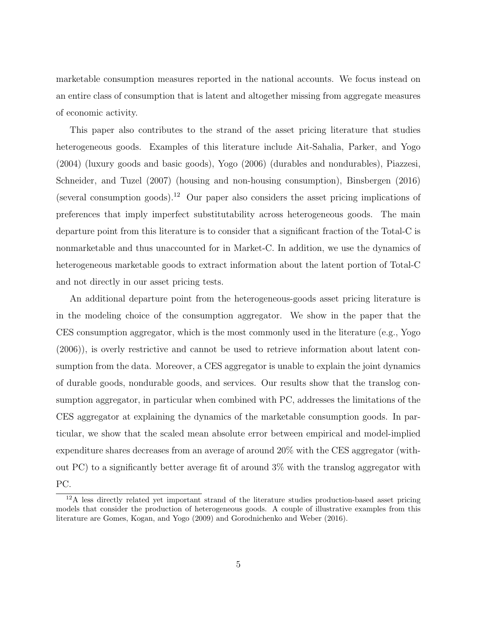marketable consumption measures reported in the national accounts. We focus instead on an entire class of consumption that is latent and altogether missing from aggregate measures of economic activity.

This paper also contributes to the strand of the asset pricing literature that studies heterogeneous goods. Examples of this literature include [Ait-Sahalia, Parker, and Yogo](#page-38-6) [\(2004\)](#page-38-6) (luxury goods and basic goods), [Yogo](#page-41-0) [\(2006\)](#page-41-0) (durables and nondurables), [Piazzesi,](#page-40-8) [Schneider, and Tuzel](#page-40-8) [\(2007\)](#page-40-8) (housing and non-housing consumption), [Binsbergen](#page-38-7) [\(2016\)](#page-38-7) (several consumption goods).<sup>[12](#page-6-0)</sup> Our paper also considers the asset pricing implications of preferences that imply imperfect substitutability across heterogeneous goods. The main departure point from this literature is to consider that a significant fraction of the Total-C is nonmarketable and thus unaccounted for in Market-C. In addition, we use the dynamics of heterogeneous marketable goods to extract information about the latent portion of Total-C and not directly in our asset pricing tests.

An additional departure point from the heterogeneous-goods asset pricing literature is in the modeling choice of the consumption aggregator. We show in the paper that the CES consumption aggregator, which is the most commonly used in the literature (e.g., [Yogo](#page-41-0) [\(2006\)](#page-41-0)), is overly restrictive and cannot be used to retrieve information about latent consumption from the data. Moreover, a CES aggregator is unable to explain the joint dynamics of durable goods, nondurable goods, and services. Our results show that the translog consumption aggregator, in particular when combined with PC, addresses the limitations of the CES aggregator at explaining the dynamics of the marketable consumption goods. In particular, we show that the scaled mean absolute error between empirical and model-implied expenditure shares decreases from an average of around 20% with the CES aggregator (without PC) to a significantly better average fit of around 3% with the translog aggregator with PC.

<span id="page-6-0"></span><sup>12</sup>A less directly related yet important strand of the literature studies production-based asset pricing models that consider the production of heterogeneous goods. A couple of illustrative examples from this literature are [Gomes, Kogan, and Yogo](#page-40-9) [\(2009\)](#page-40-9) and [Gorodnichenko and Weber](#page-40-10) [\(2016\)](#page-40-10).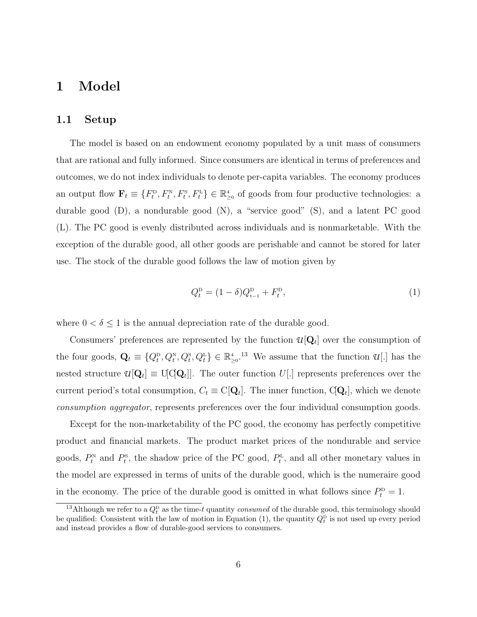# 1 Model

### 1.1 Setup

The model is based on an endowment economy populated by a unit mass of consumers that are rational and fully informed. Since consumers are identical in terms of preferences and outcomes, we do not index individuals to denote per-capita variables. The economy produces an output flow  $\mathbf{F}_t \equiv \{F_t^{\rm p}, F_t^{\rm N}, F_t^{\rm s}, F_t^{\rm L}\} \in \mathbb{R}_{\geq 0}^4$  of goods from four productive technologies: a durable good (D), a nondurable good (N), a "service good" (S), and a latent PC good (L). The PC good is evenly distributed across individuals and is nonmarketable. With the exception of the durable good, all other goods are perishable and cannot be stored for later use. The stock of the durable good follows the law of motion given by

<span id="page-7-1"></span>
$$
Q_t^{\mathcal{D}} = (1 - \delta)Q_{t-1}^{\mathcal{D}} + F_t^{\mathcal{D}},\tag{1}
$$

where  $0 < \delta \leq 1$  is the annual depreciation rate of the durable good.

Consumers' preferences are represented by the function  $\mathcal{U}[\mathbf{Q}_t]$  over the consumption of the four goods,  $\mathbf{Q}_t \equiv \{Q_t^{\text{D}}, Q_t^{\text{N}}, Q_t^{\text{S}}, Q_t^{\text{L}}\} \in \mathbb{R}_{\geq 0}^4$ .<sup>[13](#page-7-0)</sup> We assume that the function  $\mathcal{U}$ [.] has the nested structure  $u[\mathbf{Q}_t] \equiv \mathrm{U}[\mathrm{Q}\mathbf{Q}_t]$ . The outer function  $U[.]$  represents preferences over the current period's total consumption,  $C_t \equiv C[\mathbf{Q}_t]$ . The inner function,  $C[\mathbf{Q}_t]$ , which we denote consumption aggregator, represents preferences over the four individual consumption goods.

Except for the non-marketability of the PC good, the economy has perfectly competitive product and financial markets. The product market prices of the nondurable and service goods,  $P_t^{\scriptscriptstyle\rm N}$  and  $P_t^{\scriptscriptstyle\rm S}$ , the shadow price of the PC good,  $P_t^{\scriptscriptstyle\rm L}$ , and all other monetary values in the model are expressed in terms of units of the durable good, which is the numeraire good in the economy. The price of the durable good is omitted in what follows since  $P_t^{\text{D}} = 1$ .

<span id="page-7-0"></span><sup>&</sup>lt;sup>13</sup>Although we refer to a  $Q_t^{\text{D}}$  as the time-t quantity *consumed* of the durable good, this terminology should be qualified: Consistent with the law of motion in Equation [\(1\)](#page-7-1), the quantity  $Q_t^{\text{p}}$  is not used up every period and instead provides a flow of durable-good services to consumers.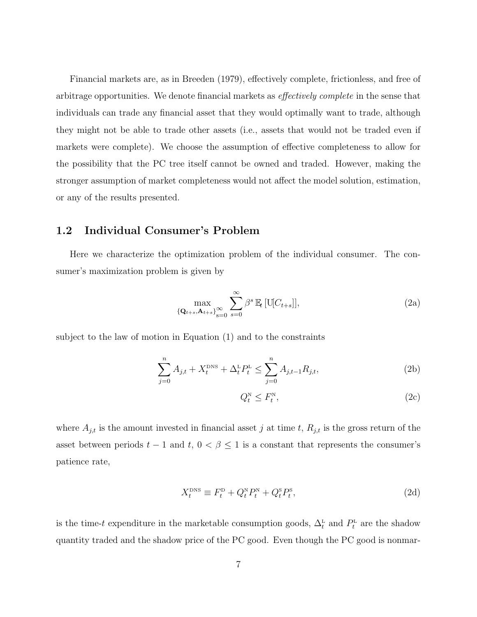Financial markets are, as in [Breeden](#page-38-8) [\(1979\)](#page-38-8), effectively complete, frictionless, and free of arbitrage opportunities. We denote financial markets as effectively complete in the sense that individuals can trade any financial asset that they would optimally want to trade, although they might not be able to trade other assets (i.e., assets that would not be traded even if markets were complete). We choose the assumption of effective completeness to allow for the possibility that the PC tree itself cannot be owned and traded. However, making the stronger assumption of market completeness would not affect the model solution, estimation, or any of the results presented.

## 1.2 Individual Consumer's Problem

Here we characterize the optimization problem of the individual consumer. The consumer's maximization problem is given by

<span id="page-8-2"></span>
$$
\max_{\{\mathbf{Q}_{t+s}, \mathbf{A}_{t+s}\}_{s=0}^{\infty}} \sum_{s=0}^{\infty} \beta^s \mathbb{E}_t \left[ \mathbf{U}[C_{t+s}] \right],\tag{2a}
$$

subject to the law of motion in Equation [\(1\)](#page-7-1) and to the constraints

$$
\sum_{j=0}^{n} A_{j,t} + X_t^{\text{DNS}} + \Delta_t^{\text{L}} P_t^{\text{L}} \le \sum_{j=0}^{n} A_{j,t-1} R_{j,t},\tag{2b}
$$

<span id="page-8-4"></span><span id="page-8-3"></span><span id="page-8-1"></span><span id="page-8-0"></span>
$$
Q_t^{\mathcal{N}} \le F_t^{\mathcal{N}},\tag{2c}
$$

where  $A_{j,t}$  is the amount invested in financial asset j at time t,  $R_{j,t}$  is the gross return of the asset between periods  $t - 1$  and  $t, 0 < \beta \leq 1$  is a constant that represents the consumer's patience rate,

$$
X_t^{\text{DNS}} \equiv F_t^{\text{D}} + Q_t^{\text{N}} P_t^{\text{N}} + Q_t^{\text{S}} P_t^{\text{S}},\tag{2d}
$$

is the time-t expenditure in the marketable consumption goods,  $\Delta_t^{\text{L}}$  and  $P_t^{\text{L}}$  are the shadow quantity traded and the shadow price of the PC good. Even though the PC good is nonmar-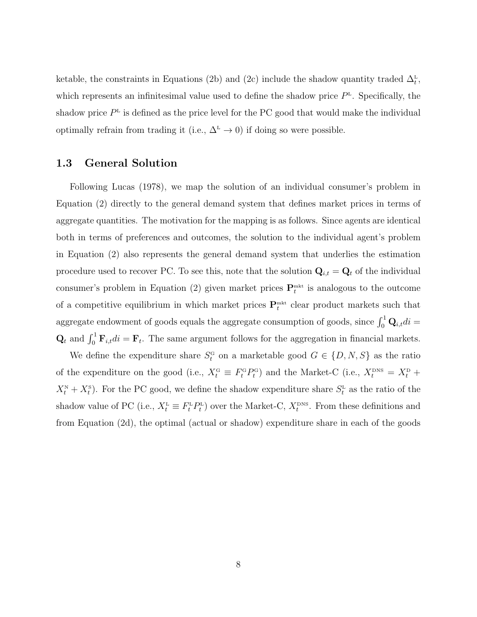ketable, the constraints in Equations [\(2b\)](#page-8-0) and [\(2c\)](#page-8-1) include the shadow quantity traded  $\Delta_t^L$ , which represents an infinitesimal value used to define the shadow price  $P<sup>\text{L}</sup>$ . Specifically, the shadow price  $P<sup>L</sup>$  is defined as the price level for the PC good that would make the individual optimally refrain from trading it (i.e.,  $\Delta^L \to 0$ ) if doing so were possible.

### <span id="page-9-0"></span>1.3 General Solution

Following [Lucas](#page-40-11) [\(1978\)](#page-40-11), we map the solution of an individual consumer's problem in Equation [\(2\)](#page-8-2) directly to the general demand system that defines market prices in terms of aggregate quantities. The motivation for the mapping is as follows. Since agents are identical both in terms of preferences and outcomes, the solution to the individual agent's problem in Equation [\(2\)](#page-8-2) also represents the general demand system that underlies the estimation procedure used to recover PC. To see this, note that the solution  $\mathbf{Q}_{i,t} = \mathbf{Q}_t$  of the individual consumer's problem in Equation [\(2\)](#page-8-2) given market prices  $\mathbf{P}_{t}^{\text{mkt}}$  is analogous to the outcome of a competitive equilibrium in which market prices  $\mathbf{P}_{t}^{\text{mkt}}$  clear product markets such that aggregate endowment of goods equals the aggregate consumption of goods, since  $\int_0^1 \mathbf{Q}_{i,t} dt =$  $\mathbf{Q}_t$  and  $\int_0^1 \mathbf{F}_{i,t} dt = \mathbf{F}_t$ . The same argument follows for the aggregation in financial markets.

We define the expenditure share  $S_t^G$  on a marketable good  $G \in \{D, N, S\}$  as the ratio of the expenditure on the good (i.e.,  $X_t^{\text{G}} \equiv F_t^{\text{G}} P_t^{\text{G}}$ ) and the Market-C (i.e.,  $X_t^{\text{DNS}} = X_t^{\text{D}} +$  $X_t^N + X_t^S$ ). For the PC good, we define the shadow expenditure share  $S_t^L$  as the ratio of the shadow value of PC (i.e.,  $X_t^{\text{L}} \equiv F_t^{\text{L}} P_t^{\text{L}}$ ) over the Market-C,  $X_t^{\text{DNS}}$ . From these definitions and from Equation [\(2d\)](#page-8-3), the optimal (actual or shadow) expenditure share in each of the goods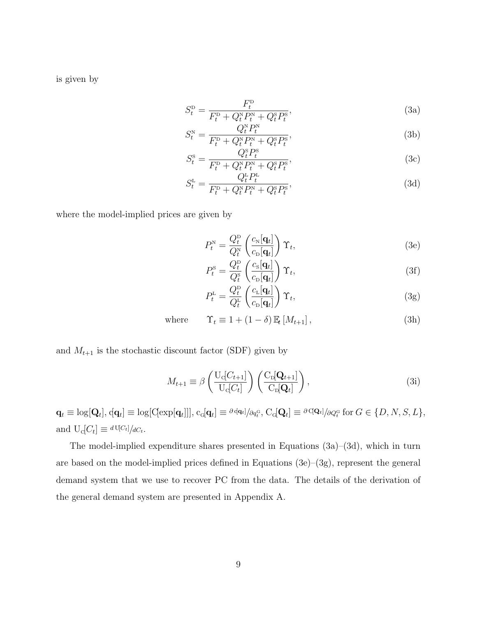is given by

<span id="page-10-0"></span>
$$
S_t^{\mathcal{D}} = \frac{F_t^{\mathcal{D}}}{F_t^{\mathcal{D}} + Q_t^{\mathcal{N}} P_t^{\mathcal{N}} + Q_t^{\mathcal{S}} P_t^{\mathcal{S}}},\tag{3a}
$$

$$
S_t^{\rm N} = \frac{Q_t^{\rm N} P_t^{\rm N}}{F_t^{\rm D} + Q_t^{\rm N} P_t^{\rm N} + Q_t^{\rm S} P_t^{\rm S}},\tag{3b}
$$

<span id="page-10-4"></span>
$$
S_t^{\rm s} = \frac{Q_t^{\rm s} P_t^{\rm s}}{F_t^{\rm p} + Q_t^{\rm s} P_t^{\rm n} + Q_t^{\rm s} P_t^{\rm s}},\tag{3c}
$$

$$
S_t^{\text{L}} = \frac{Q_t^{\text{L}} P_t^{\text{L}}}{F_t^{\text{D}} + Q_t^{\text{N}} P_t^{\text{N}} + Q_t^{\text{S}} P_t^{\text{S}}},\tag{3d}
$$

where the model-implied prices are given by

<span id="page-10-2"></span><span id="page-10-1"></span>
$$
P_t^{\rm N} = \frac{Q_t^{\rm D}}{Q_t^{\rm N}} \left( \frac{c_{\rm N}[\mathbf{q}_t]}{c_{\rm D}[\mathbf{q}_t]} \right) \Upsilon_t, \tag{3e}
$$

$$
P_t^{\rm s} = \frac{Q_t^{\rm p}}{Q_t^{\rm s}} \left( \frac{c_{\rm s}[\mathbf{q}_t]}{c_{\rm p}[\mathbf{q}_t]} \right) \Upsilon_t, \tag{3f}
$$

<span id="page-10-5"></span><span id="page-10-3"></span>
$$
P_t^{\text{L}} = \frac{Q_t^{\text{D}}}{Q_t^{\text{L}}} \left( \frac{c_{\text{L}}[\mathbf{q}_t]}{c_{\text{D}}[\mathbf{q}_t]} \right) \Upsilon_t, \tag{3g}
$$

where  $\Upsilon_t \equiv 1 + (1 - \delta) \mathbb{E}_t [M_{t+1}],$  (3h)

and  $M_{t+1}$  is the stochastic discount factor (SDF) given by

$$
M_{t+1} \equiv \beta \left( \frac{\mathrm{U}_{\mathrm{d}}[C_{t+1}]}{\mathrm{U}_{\mathrm{d}}[C_t]} \right) \left( \frac{\mathrm{C}_{\mathrm{D}}[\mathbf{Q}_{t+1}]}{\mathrm{C}_{\mathrm{D}}[\mathbf{Q}_t]} \right),\tag{3i}
$$

 $\mathbf{q}_t \equiv \log[\mathbf{Q}_t], \mathrm{q} \mathbf{q}_t] \equiv \log[\mathrm{C}[\exp[\mathbf{q}_t]]], \mathrm{c}_\text{G}[\mathbf{q}_t] \equiv \frac{\partial \mathrm{q} \mathbf{q}_t}{\partial q_t^{\text{G}}}, \mathrm{C}_\text{G}[\mathbf{Q}_t] \equiv \frac{\partial \mathrm{C}[\mathbf{Q}_t]}{\partial Q_t^{\text{G}}} \text{ for } G \in \{D, N, S, L\},\$ and  $U_c[C_t] \equiv \frac{dU_c}{dV_t}$ .

The model-implied expenditure shares presented in Equations [\(3a\)](#page-10-0)–[\(3d\)](#page-10-1), which in turn are based on the model-implied prices defined in Equations  $(3e)-(3g)$  $(3e)-(3g)$ , represent the general demand system that we use to recover PC from the data. The details of the derivation of the general demand system are presented in Appendix [A.](#page-42-0)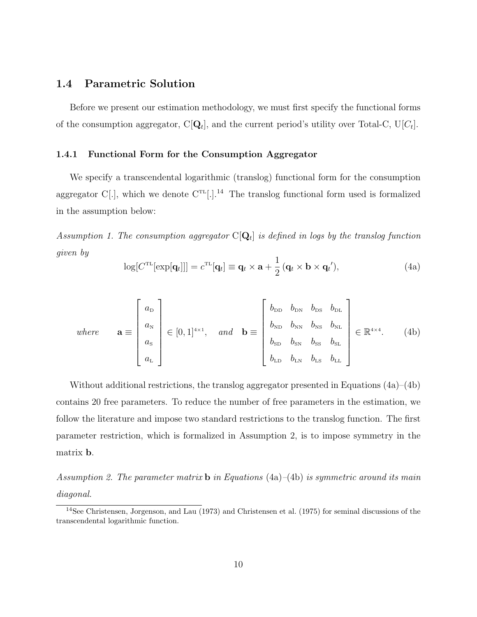### 1.4 Parametric Solution

Before we present our estimation methodology, we must first specify the functional forms of the consumption aggregator,  $C[\mathbf{Q}_t]$ , and the current period's utility over Total-C,  $U[C_t]$ .

#### <span id="page-11-5"></span>1.4.1 Functional Form for the Consumption Aggregator

We specify a transcendental logarithmic (translog) functional form for the consumption aggregator C[.], which we denote  $C^{TL}$ [.].<sup>[14](#page-11-0)</sup> The translog functional form used is formalized in the assumption below:

<span id="page-11-4"></span>Assumption 1. The consumption aggregator  $\mathbb{C}[\mathbf{Q}_t]$  is defined in logs by the translog function given by

<span id="page-11-2"></span><span id="page-11-1"></span>
$$
\log[C^{\text{TL}}[\exp[\mathbf{q}_t]]] = c^{\text{TL}}[\mathbf{q}_t] \equiv \mathbf{q}_t \times \mathbf{a} + \frac{1}{2} (\mathbf{q}_t \times \mathbf{b} \times \mathbf{q}_t'), \tag{4a}
$$

where 
$$
\mathbf{a} \equiv \begin{bmatrix} a_{D} \\ a_{N} \\ a_{S} \\ a_{L} \end{bmatrix} \in [0, 1]^{4 \times 1}, \text{ and } \mathbf{b} \equiv \begin{bmatrix} b_{DD} & b_{DN} & b_{DS} & b_{DL} \\ b_{ND} & b_{NN} & b_{NS} & b_{NL} \\ b_{SD} & b_{SN} & b_{SS} & b_{SL} \\ b_{LD} & b_{LN} & b_{LS} & b_{LL} \end{bmatrix} \in \mathbb{R}^{4 \times 4}.
$$
 (4b)

Without additional restrictions, the translog aggregator presented in Equations [\(4a\)](#page-11-1)–[\(4b\)](#page-11-2) contains 20 free parameters. To reduce the number of free parameters in the estimation, we follow the literature and impose two standard restrictions to the translog function. The first parameter restriction, which is formalized in Assumption [2,](#page-11-3) is to impose symmetry in the matrix b.

<span id="page-11-3"></span>Assumption 2. The parameter matrix **b** in Equations [\(4a\)](#page-11-1)–[\(4b\)](#page-11-2) is symmetric around its main diagonal.

<span id="page-11-0"></span><sup>14</sup>See [Christensen, Jorgenson, and Lau](#page-39-4) [\(1973\)](#page-39-4) and [Christensen et al.](#page-39-1) [\(1975\)](#page-39-1) for seminal discussions of the transcendental logarithmic function.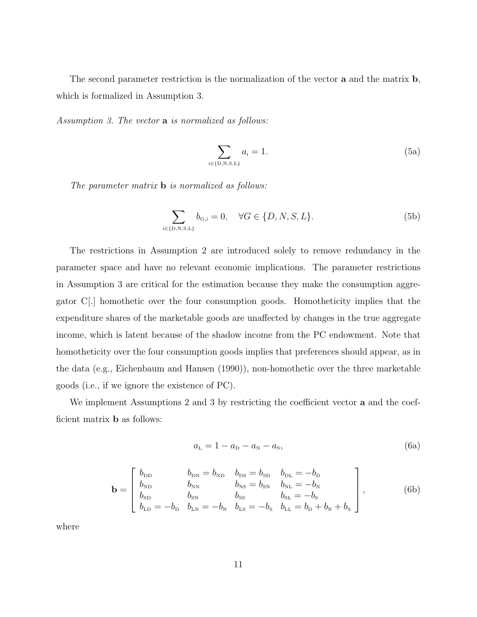The second parameter restriction is the normalization of the vector **a** and the matrix **b**, which is formalized in Assumption [3.](#page-12-0)

<span id="page-12-0"></span>Assumption 3. The vector a is normalized as follows:

$$
\sum_{\mathbf{i}\in\{\mathbf{D},\mathbf{N},\mathbf{S},\mathbf{L}\}} a_{\mathbf{i}} = 1. \tag{5a}
$$

The parameter matrix **b** is normalized as follows:

$$
\sum_{i \in \{D, N, S, L\}} b_{G,i} = 0, \quad \forall G \in \{D, N, S, L\}.
$$
 (5b)

The restrictions in Assumption [2](#page-11-3) are introduced solely to remove redundancy in the parameter space and have no relevant economic implications. The parameter restrictions in Assumption [3](#page-12-0) are critical for the estimation because they make the consumption aggregator C[.] homothetic over the four consumption goods. Homotheticity implies that the expenditure shares of the marketable goods are unaffected by changes in the true aggregate income, which is latent because of the shadow income from the PC endowment. Note that homotheticity over the four consumption goods implies that preferences should appear, as in the data (e.g., [Eichenbaum and Hansen](#page-39-5) [\(1990\)](#page-39-5)), non-homothetic over the three marketable goods (i.e., if we ignore the existence of PC).

We implement Assumptions [2](#page-11-3) and [3](#page-12-0) by restricting the coefficient vector **a** and the coefficient matrix b as follows:

<span id="page-12-2"></span><span id="page-12-1"></span>
$$
a_{L} = 1 - a_{D} - a_{N} - a_{S}, \t\t(6a)
$$

$$
\mathbf{b} = \begin{bmatrix} b_{\text{DD}} & b_{\text{DN}} = b_{\text{ND}} & b_{\text{DS}} = b_{\text{SD}} & b_{\text{DL}} = -b_{\text{D}} \\ b_{\text{ND}} & b_{\text{NN}} & b_{\text{NS}} = b_{\text{SN}} & b_{\text{NL}} = -b_{\text{N}} \\ b_{\text{SD}} & b_{\text{SN}} & b_{\text{SS}} & b_{\text{SL}} = -b_{\text{S}} \\ b_{\text{LD}} = -b_{\text{D}} & b_{\text{LN}} = -b_{\text{N}} & b_{\text{LS}} = -b_{\text{S}} & b_{\text{LL}} = b_{\text{D}} + b_{\text{N}} + b_{\text{S}} \end{bmatrix},
$$
(6b)

where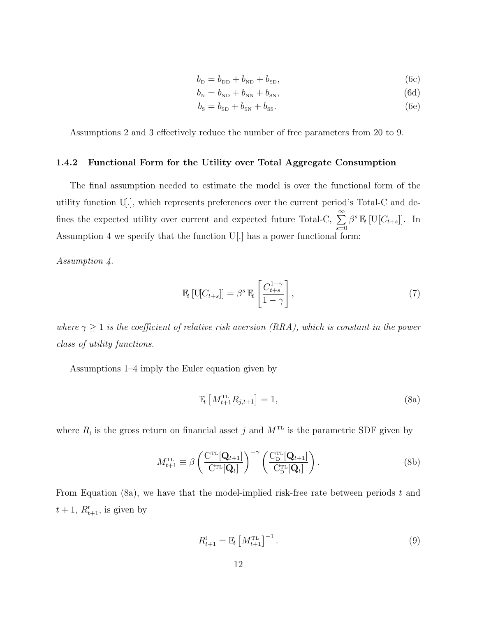<span id="page-13-6"></span>
$$
b_{\rm D} = b_{\rm DD} + b_{\rm ND} + b_{\rm SD},\tag{6c}
$$

$$
b_{\rm N} = b_{\rm ND} + b_{\rm NN} + b_{\rm SN},\tag{6d}
$$

$$
b_{\rm s} = b_{\rm SD} + b_{\rm SN} + b_{\rm SS}.\tag{6e}
$$

Assumptions [2](#page-11-3) and [3](#page-12-0) effectively reduce the number of free parameters from 20 to 9.

#### <span id="page-13-2"></span>1.4.2 Functional Form for the Utility over Total Aggregate Consumption

The final assumption needed to estimate the model is over the functional form of the utility function U[.], which represents preferences over the current period's Total-C and defines the expected utility over current and expected future Total-C,  $\sum_{n=1}^{\infty}$  $s = 0$  $\beta^s \mathbb{E}_t \left[ \text{U}[C_{t+s}] \right]$ . In Assumption [4](#page-13-0) we specify that the function U[.] has a power functional form:

<span id="page-13-0"></span>Assumption 4.

<span id="page-13-5"></span>
$$
\mathbb{E}_{t}\left[\mathrm{U}[C_{t+s}]\right] = \beta^{s} \mathbb{E}_{t}\left[\frac{C_{t+s}^{1-\gamma}}{1-\gamma}\right],\tag{7}
$$

where  $\gamma \geq 1$  is the coefficient of relative risk aversion (RRA), which is constant in the power class of utility functions.

Assumptions [1–](#page-11-4)[4](#page-13-0) imply the Euler equation given by

<span id="page-13-3"></span><span id="page-13-1"></span>
$$
\mathbb{E}_t \left[ M_{t+1}^{\text{TL}} R_{j,t+1} \right] = 1,\tag{8a}
$$

where  $R_i$  is the gross return on financial asset j and  $M<sup>TL</sup>$  is the parametric SDF given by

$$
M_{t+1}^{\text{TL}} \equiv \beta \left( \frac{\mathbf{C}^{\text{TL}}[\mathbf{Q}_{t+1}]}{\mathbf{C}^{\text{TL}}[\mathbf{Q}_t]} \right)^{-\gamma} \left( \frac{\mathbf{C}_{\text{D}}^{\text{TL}}[\mathbf{Q}_{t+1}]}{\mathbf{C}_{\text{D}}^{\text{TL}}[\mathbf{Q}_t]} \right).
$$
(8b)

From Equation [\(8a\)](#page-13-1), we have that the model-implied risk-free rate between periods  $t$  and  $t + 1$ ,  $R_{t+1}^{\text{f}}$ , is given by

<span id="page-13-4"></span>
$$
R_{t+1}^{\mathrm{f}} = \mathbb{E}_t \left[ M_{t+1}^{\mathrm{TL}} \right]^{-1} . \tag{9}
$$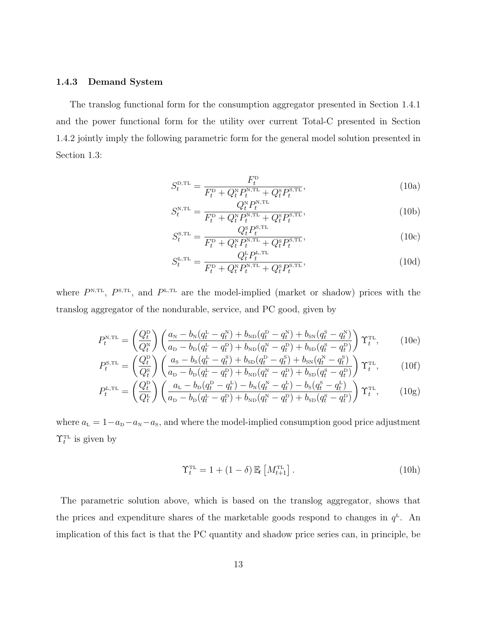#### <span id="page-14-3"></span>1.4.3 Demand System

The translog functional form for the consumption aggregator presented in Section [1.4.1](#page-11-5) and the power functional form for the utility over current Total-C presented in Section [1.4.2](#page-13-2) jointly imply the following parametric form for the general model solution presented in Section [1.3:](#page-9-0)

<span id="page-14-0"></span>
$$
S_t^{\text{D,TL}} = \frac{F_t^{\text{D}}}{F_t^{\text{D}} + Q_t^{\text{N}} P_t^{\text{N,TL}} + Q_t^{\text{S}} P_t^{\text{S,TL}}},\tag{10a}
$$

$$
S_t^{\text{N,TL}} = \frac{Q_t^{\text{N}} P_t^{\text{N,TL}}}{F_t^{\text{D}} + Q_t^{\text{N}} P_t^{\text{N,TL}} + Q_t^{\text{S}} P_t^{\text{S,TL}}},\tag{10b}
$$

<span id="page-14-4"></span>
$$
S_t^{\text{s},\text{TL}} = \frac{Q_t^{\text{s}} P_t^{\text{s},\text{TL}}}{F_t^{\text{D}} + Q_t^{\text{s}} P_t^{\text{s},\text{TL}} + Q_t^{\text{s}} P_t^{\text{s},\text{TL}}},\tag{10c}
$$

<span id="page-14-5"></span>
$$
S_t^{\text{L,TL}} = \frac{Q_t^{\text{L}} P_t^{\text{L,TL}}}{F_t^{\text{D}} + Q_t^{\text{N}} P_t^{\text{N,TL}} + Q_t^{\text{S}} P_t^{\text{S,TL}}},\tag{10d}
$$

where  $P^{N,TL}$ ,  $P^{S,TL}$ , and  $P^{L,TL}$  are the model-implied (market or shadow) prices with the translog aggregator of the nondurable, service, and PC good, given by

$$
P_t^{\text{N,TL}} = \left(\frac{Q_t^{\text{D}}}{Q_t^{\text{N}}}\right) \left(\frac{a_{\text{N}} - b_{\text{N}}(q_t^{\text{L}} - q_t^{\text{N}}) + b_{\text{ND}}(q_t^{\text{D}} - q_t^{\text{N}}) + b_{\text{SN}}(q_t^{\text{S}} - q_t^{\text{N}})}{a_{\text{D}} - b_{\text{D}}(q_t^{\text{L}} - q_t^{\text{D}}) + b_{\text{ND}}(q_t^{\text{N}} - q_t^{\text{D}}) + b_{\text{SD}}(q_t^{\text{S}} - q_t^{\text{D}})}\right) \Upsilon_t^{\text{TL}},\tag{10e}
$$

$$
P_t^{\text{s},\text{TL}} = \left(\frac{Q_t^{\text{D}}}{Q_t^{\text{s}}}\right) \left(\frac{a_{\text{s}} - b_{\text{s}}(q_t^{\text{L}} - q_t^{\text{s}}) + b_{\text{SD}}(q_t^{\text{D}} - q_t^{\text{s}}) + b_{\text{SN}}(q_t^{\text{N}} - q_t^{\text{s}})}{a_{\text{D}} - b_{\text{D}}(q_t^{\text{L}} - q_t^{\text{D}}) + b_{\text{ND}}(q_t^{\text{N}} - q_t^{\text{D}}) + b_{\text{SD}}(q_t^{\text{s}} - q_t^{\text{D}})}\right) \Upsilon_t^{\text{TL}},\tag{10f}
$$

$$
P_t^{\text{L,TL}} = \left(\frac{Q_t^{\text{D}}}{Q_t^{\text{L}}}\right) \left(\frac{a_{\text{L}} - b_{\text{D}}(q_t^{\text{D}} - q_t^{\text{L}}) - b_{\text{N}}(q_t^{\text{N}} - q_t^{\text{L}}) - b_{\text{S}}(q_t^{\text{S}} - q_t^{\text{L}})}{a_{\text{D}} - b_{\text{D}}(q_t^{\text{L}} - q_t^{\text{D}}) + b_{\text{ND}}(q_t^{\text{N}} - q_t^{\text{D}}) + b_{\text{SD}}(q_t^{\text{S}} - q_t^{\text{D}})}\right) \Upsilon_t^{\text{TL}},\tag{10g}
$$

where  $a_{L} = 1-a_{D}-a_{N}-a_{S}$ , and where the model-implied consumption good price adjustment  $\Upsilon_t^{\text{\tiny{TL}}}$  is given by

<span id="page-14-2"></span><span id="page-14-1"></span>
$$
\Upsilon_t^{\text{TL}} = 1 + (1 - \delta) \mathbb{E}_t \left[ M_{t+1}^{\text{TL}} \right]. \tag{10h}
$$

The parametric solution above, which is based on the translog aggregator, shows that the prices and expenditure shares of the marketable goods respond to changes in  $q<sup>L</sup>$ . An implication of this fact is that the PC quantity and shadow price series can, in principle, be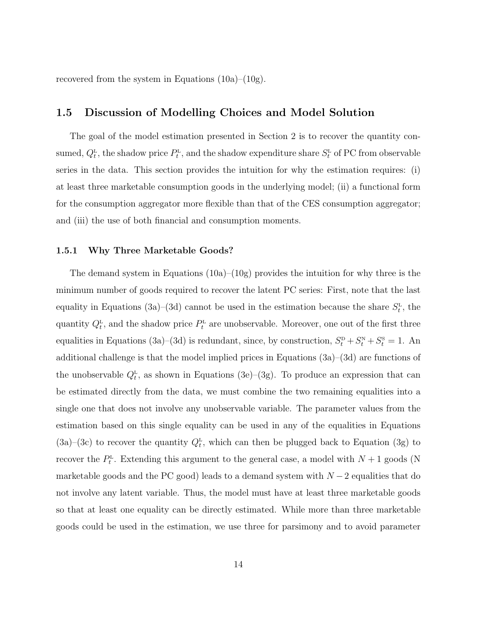recovered from the system in Equations  $(10a)$ – $(10g)$ .

# 1.5 Discussion of Modelling Choices and Model Solution

The goal of the model estimation presented in Section [2](#page-18-0) is to recover the quantity consumed,  $Q_t^L$ , the shadow price  $P_t^L$ , and the shadow expenditure share  $S_t^L$  of PC from observable series in the data. This section provides the intuition for why the estimation requires: (i) at least three marketable consumption goods in the underlying model; (ii) a functional form for the consumption aggregator more flexible than that of the CES consumption aggregator; and (iii) the use of both financial and consumption moments.

#### <span id="page-15-0"></span>1.5.1 Why Three Marketable Goods?

The demand system in Equations  $(10a)-(10g)$  $(10a)-(10g)$  provides the intuition for why three is the minimum number of goods required to recover the latent PC series: First, note that the last equality in Equations [\(3a\)](#page-10-0)–[\(3d\)](#page-10-1) cannot be used in the estimation because the share  $S_t^{\text{L}}$ , the quantity  $Q_t^L$ , and the shadow price  $P_t^L$  are unobservable. Moreover, one out of the first three equalities in Equations [\(3a\)](#page-10-0)–[\(3d\)](#page-10-1) is redundant, since, by construction,  $S_t^{\text{D}} + S_t^{\text{N}} + S_t^{\text{s}} = 1$ . An additional challenge is that the model implied prices in Equations [\(3a\)](#page-10-0)–[\(3d\)](#page-10-1) are functions of the unobservable  $Q_t^L$ , as shown in Equations [\(3e\)](#page-10-2)–[\(3g\)](#page-10-3). To produce an expression that can be estimated directly from the data, we must combine the two remaining equalities into a single one that does not involve any unobservable variable. The parameter values from the estimation based on this single equality can be used in any of the equalities in Equations  $(3a)$ – $(3c)$  to recover the quantity  $Q_t^L$ , which can then be plugged back to Equation  $(3g)$  to recover the  $P_t^{\text{L}}$ . Extending this argument to the general case, a model with  $N+1$  goods (N marketable goods and the PC good) leads to a demand system with  $N-2$  equalities that do not involve any latent variable. Thus, the model must have at least three marketable goods so that at least one equality can be directly estimated. While more than three marketable goods could be used in the estimation, we use three for parsimony and to avoid parameter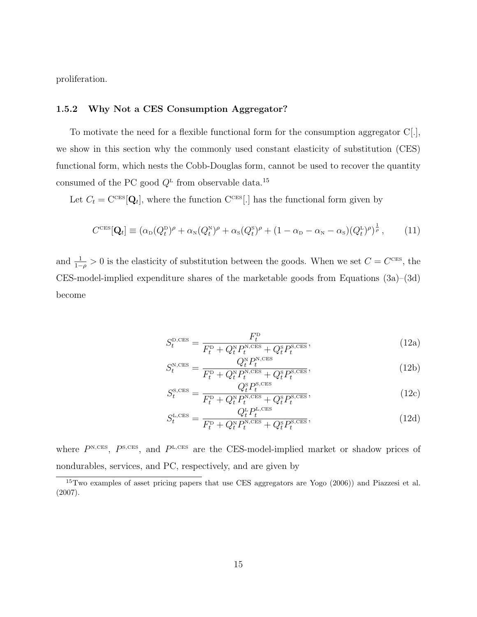proliferation.

### <span id="page-16-0"></span>1.5.2 Why Not a CES Consumption Aggregator?

To motivate the need for a flexible functional form for the consumption aggregator C[.], we show in this section why the commonly used constant elasticity of substitution (CES) functional form, which nests the Cobb-Douglas form, cannot be used to recover the quantity consumed of the PC good  $Q<sup>L</sup>$  from observable data.<sup>[15](#page-16-1)</sup>

Let  $C_t = \text{C}^{\text{CES}}[Q_t]$ , where the function  $\text{C}^{\text{CES}}[.]$  has the functional form given by

$$
C^{\text{CES}}[\mathbf{Q}_t] \equiv (\alpha_{\text{D}}(Q_t^{\text{D}})^{\rho} + \alpha_{\text{N}}(Q_t^{\text{N}})^{\rho} + \alpha_{\text{S}}(Q_t^{\text{S}})^{\rho} + (1 - \alpha_{\text{D}} - \alpha_{\text{N}} - \alpha_{\text{S}})(Q_t^{\text{L}})^{\rho})^{\frac{1}{\rho}}, \tag{11}
$$

<span id="page-16-2"></span>and  $\frac{1}{1-\rho} > 0$  is the elasticity of substitution between the goods. When we set  $C = C^{\text{CES}}$ , the CES-model-implied expenditure shares of the marketable goods from Equations [\(3a\)](#page-10-0)–[\(3d\)](#page-10-1) become

$$
S_t^{\text{D,CES}} = \frac{F_t^{\text{D}}}{F_t^{\text{D}} + Q_t^{\text{N}} P_t^{\text{N,CES}} + Q_t^{\text{S}} P_t^{\text{S,CES}}},\tag{12a}
$$

$$
S_t^{\text{N,CES}} = \frac{Q_t^{\text{N}} P_t^{\text{N,CES}}}{F_t^{\text{D}} + Q_t^{\text{N}} P_t^{\text{N,CES}} + Q_t^{\text{S}} P_t^{\text{S,CES}}},\tag{12b}
$$

<span id="page-16-3"></span>
$$
S_t^{\text{s,ces}} = \frac{Q_t^{\text{s}} P_t^{\text{s,ces}}}{F_t^{\text{p}} + Q_t^{\text{s}} P_t^{\text{s,ces}} + Q_t^{\text{s}} P_t^{\text{s,ces}}},\tag{12c}
$$

$$
S_t^{\text{L,CES}} = \frac{Q_t^{\text{L}} P_t^{\text{L,CES}}}{F_t^{\text{D}} + Q_t^{\text{N}} P_t^{\text{N,CES}} + Q_t^{\text{S}} P_t^{\text{S,CES}}},\tag{12d}
$$

where  $P<sup>N,CES</sup>$ ,  $P<sup>S,CES</sup>$ , and  $P<sup>L,CES</sup>$  are the CES-model-implied market or shadow prices of nondurables, services, and PC, respectively, and are given by

<span id="page-16-1"></span><sup>15</sup>Two examples of asset pricing papers that use CES aggregators are [Yogo](#page-41-0) [\(2006\)](#page-41-0)) and [Piazzesi et al.](#page-40-8) [\(2007\)](#page-40-8).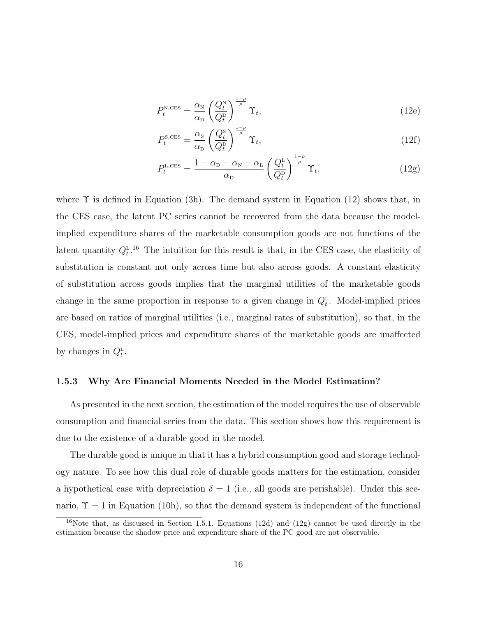$$
P_t^{\text{N,CES}} = \frac{\alpha_{\text{N}}}{\alpha_{\text{D}}} \left(\frac{Q_t^{\text{N}}}{Q_t^{\text{D}}}\right)^{\frac{1-\rho}{\rho}} \Upsilon_t,\tag{12e}
$$

$$
P_t^{\text{s,ces}} = \frac{\alpha_{\text{s}}}{\alpha_{\text{D}}} \left(\frac{Q_t^{\text{s}}}{Q_t^{\text{D}}}\right)^{\frac{1-\rho}{\rho}} \Upsilon_t,\tag{12f}
$$

<span id="page-17-1"></span>
$$
P_t^{\text{L,CES}} = \frac{1 - \alpha_{\text{D}} - \alpha_{\text{N}} - \alpha_{\text{L}}}{\alpha_{\text{D}}} \left(\frac{Q_t^{\text{L}}}{Q_t^{\text{D}}}\right)^{\frac{1-\rho}{\rho}} \Upsilon_t,\tag{12g}
$$

where  $\Upsilon$  is defined in Equation [\(3h\)](#page-10-5). The demand system in Equation [\(12\)](#page-16-2) shows that, in the CES case, the latent PC series cannot be recovered from the data because the modelimplied expenditure shares of the marketable consumption goods are not functions of the latent quantity  $Q_t^L$ .<sup>[16](#page-17-0)</sup> The intuition for this result is that, in the CES case, the elasticity of substitution is constant not only across time but also across goods. A constant elasticity of substitution across goods implies that the marginal utilities of the marketable goods change in the same proportion in response to a given change in  $Q_t^L$ . Model-implied prices are based on ratios of marginal utilities (i.e., marginal rates of substitution), so that, in the CES, model-implied prices and expenditure shares of the marketable goods are unaffected by changes in  $Q_t^L$ .

### 1.5.3 Why Are Financial Moments Needed in the Model Estimation?

As presented in the next section, the estimation of the model requires the use of observable consumption and financial series from the data. This section shows how this requirement is due to the existence of a durable good in the model.

The durable good is unique in that it has a hybrid consumption good and storage technology nature. To see how this dual role of durable goods matters for the estimation, consider a hypothetical case with depreciation  $\delta = 1$  (i.e., all goods are perishable). Under this scenario,  $\Upsilon = 1$  in Equation [\(10h\)](#page-14-2), so that the demand system is independent of the functional

<span id="page-17-0"></span><sup>&</sup>lt;sup>16</sup>Note that, as discussed in Section [1.5.1,](#page-15-0) Equations [\(12d\)](#page-16-3) and [\(12g\)](#page-17-1) cannot be used directly in the estimation because the shadow price and expenditure share of the PC good are not observable.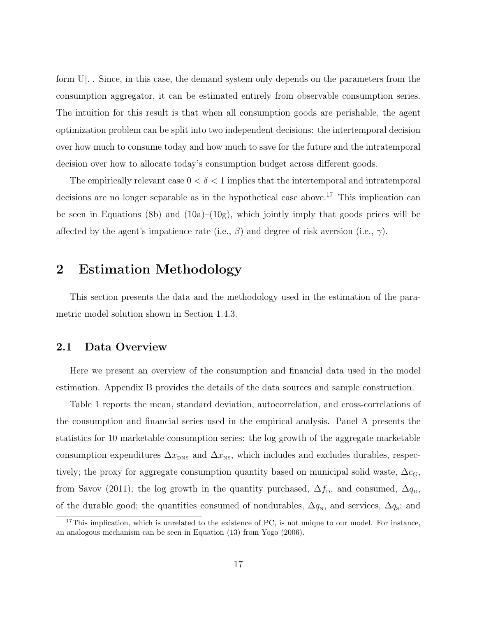form U[.]. Since, in this case, the demand system only depends on the parameters from the consumption aggregator, it can be estimated entirely from observable consumption series. The intuition for this result is that when all consumption goods are perishable, the agent optimization problem can be split into two independent decisions: the intertemporal decision over how much to consume today and how much to save for the future and the intratemporal decision over how to allocate today's consumption budget across different goods.

The empirically relevant case  $0 < \delta < 1$  implies that the intertemporal and intratemporal decisions are no longer separable as in the hypothetical case above.<sup>[17](#page-18-1)</sup> This implication can be seen in Equations [\(8b\)](#page-13-3) and  $(10a)$ – $(10g)$ , which jointly imply that goods prices will be affected by the agent's impatience rate (i.e.,  $\beta$ ) and degree of risk aversion (i.e.,  $\gamma$ ).

# <span id="page-18-0"></span>2 Estimation Methodology

This section presents the data and the methodology used in the estimation of the parametric model solution shown in Section [1.4.3.](#page-14-3)

### 2.1 Data Overview

Here we present an overview of the consumption and financial data used in the model estimation. Appendix [B](#page-43-0) provides the details of the data sources and sample construction.

Table [1](#page-52-0) reports the mean, standard deviation, autocorrelation, and cross-correlations of the consumption and financial series used in the empirical analysis. Panel A presents the statistics for 10 marketable consumption series: the log growth of the aggregate marketable consumption expenditures  $\Delta x_{\text{DNS}}$  and  $\Delta x_{\text{NS}}$ , which includes and excludes durables, respectively; the proxy for aggregate consumption quantity based on municipal solid waste,  $\Delta c_G$ , from [Savov](#page-40-6) [\(2011\)](#page-40-6); the log growth in the quantity purchased,  $\Delta f_{\rm D}$ , and consumed,  $\Delta q_{\rm D}$ , of the durable good; the quantities consumed of nondurables,  $\Delta q_{N}$ , and services,  $\Delta q_{S}$ ; and

<span id="page-18-1"></span> $17$ This implication, which is unrelated to the existence of PC, is not unique to our model. For instance, an analogous mechanism can be seen in Equation (13) from [Yogo](#page-41-0) [\(2006\)](#page-41-0).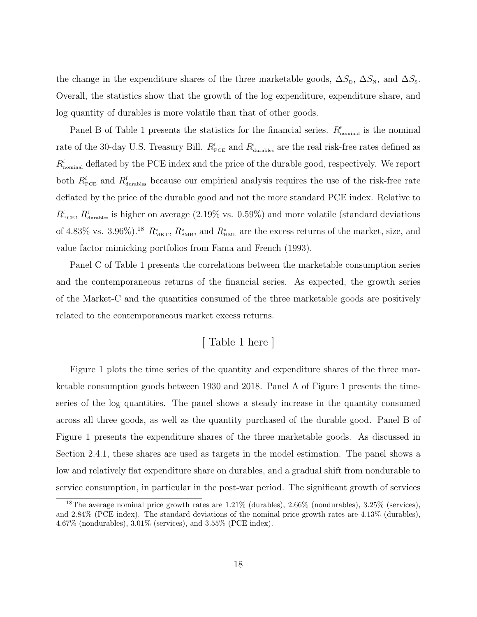the change in the expenditure shares of the three marketable goods,  $\Delta S_{\rm D}$ ,  $\Delta S_{\rm N}$ , and  $\Delta S_{\rm S}$ . Overall, the statistics show that the growth of the log expenditure, expenditure share, and log quantity of durables is more volatile than that of other goods.

Panel B of Table [1](#page-52-0) presents the statistics for the financial series.  $R_{nominal}^{\text{f}}$  is the nominal rate of the 30-day U.S. Treasury Bill.  $R_{\text{PCE}}^{\text{f}}$  and  $R_{\text{durables}}^{\text{f}}$  are the real risk-free rates defined as  $R_{nominal}^{\text{f}}$  deflated by the PCE index and the price of the durable good, respectively. We report both  $R_{\text{PCE}}^{\text{f}}$  and  $R_{\text{durables}}^{\text{f}}$  because our empirical analysis requires the use of the risk-free rate deflated by the price of the durable good and not the more standard PCE index. Relative to  $R_{\text{PCE}}^{\text{f}}$ ,  $R_{\text{durables}}^{\text{f}}$  is higher on average (2.19% vs. 0.59%) and more volatile (standard deviations of 4.83% vs. 3.96%).<sup>[18](#page-19-0)</sup>  $R_{\text{MKT}}^{\text{e}}$ ,  $R_{\text{SMB}}^{\text{e}}$ , and  $R_{\text{HML}}^{\text{e}}$  are the excess returns of the market, size, and value factor mimicking portfolios from [Fama and French](#page-40-5) [\(1993\)](#page-40-5).

Panel C of Table [1](#page-52-0) presents the correlations between the marketable consumption series and the contemporaneous returns of the financial series. As expected, the growth series of the Market-C and the quantities consumed of the three marketable goods are positively related to the contemporaneous market excess returns.

# [ Table [1](#page-52-0) here ]

Figure [1](#page-47-0) plots the time series of the quantity and expenditure shares of the three marketable consumption goods between 1930 and 2018. Panel A of Figure [1](#page-47-0) presents the timeseries of the log quantities. The panel shows a steady increase in the quantity consumed across all three goods, as well as the quantity purchased of the durable good. Panel B of Figure [1](#page-47-0) presents the expenditure shares of the three marketable goods. As discussed in Section [2.4.1,](#page-23-0) these shares are used as targets in the model estimation. The panel shows a low and relatively flat expenditure share on durables, and a gradual shift from nondurable to service consumption, in particular in the post-war period. The significant growth of services

<span id="page-19-0"></span><sup>18</sup>The average nominal price growth rates are 1.21% (durables), 2.66% (nondurables), 3.25% (services), and 2.84% (PCE index). The standard deviations of the nominal price growth rates are 4.13% (durables), 4.67% (nondurables), 3.01% (services), and 3.55% (PCE index).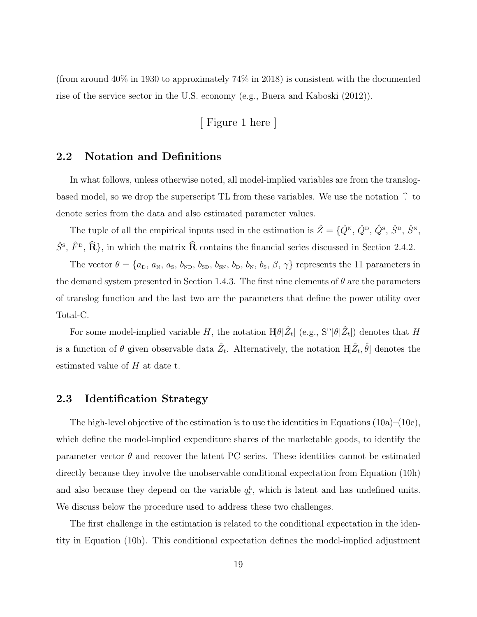(from around 40% in 1930 to approximately 74% in 2018) is consistent with the documented rise of the service sector in the U.S. economy (e.g., [Buera and Kaboski](#page-39-6) [\(2012\)](#page-39-6)).

[ Figure [1](#page-47-0) here ]

### 2.2 Notation and Definitions

In what follows, unless otherwise noted, all model-implied variables are from the translogbased model, so we drop the superscript TL from these variables. We use the notation  $\hat{\ }$  to denote series from the data and also estimated parameter values.

The tuple of all the empirical inputs used in the estimation is  $\hat{Z} = \{\hat{Q}^{\text{N}}, \hat{Q}^{\text{D}}, \hat{Q}^{\text{S}}, \hat{S}^{\text{D}}, \hat{S}^{\text{N}},\}$  $\hat{S}^{\rm s}$ ,  $\hat{F}^{\rm p}$ ,  $\hat{\mathbf{R}}$ }, in which the matrix  $\hat{\mathbf{R}}$  contains the financial series discussed in Section [2.4.2.](#page-24-0)

The vector  $\theta = \{a_{\rm D}, a_{\rm N}, a_{\rm S}, b_{\rm ND}, b_{\rm SD}, b_{\rm SN}, b_{\rm D}, b_{\rm N}, b_{\rm S}, \beta, \gamma\}$  represents the 11 parameters in the demand system presented in Section [1.4.3.](#page-14-3) The first nine elements of  $\theta$  are the parameters of translog function and the last two are the parameters that define the power utility over Total-C.

For some model-implied variable H, the notation  $H[\theta|\hat{Z}_t]$  (e.g.,  $S^{\text{D}}[\theta|\hat{Z}_t]$ ) denotes that H is a function of  $\theta$  given observable data  $\hat{Z}_t$ . Alternatively, the notation  $\mathbb{H}[\hat{Z}_t, \hat{\theta}]$  denotes the estimated value of  $H$  at date t.

## 2.3 Identification Strategy

The high-level objective of the estimation is to use the identities in Equations  $(10a)$ – $(10c)$ , which define the model-implied expenditure shares of the marketable goods, to identify the parameter vector  $\theta$  and recover the latent PC series. These identities cannot be estimated directly because they involve the unobservable conditional expectation from Equation [\(10h\)](#page-14-2) and also because they depend on the variable  $q_t^L$ , which is latent and has undefined units. We discuss below the procedure used to address these two challenges.

The first challenge in the estimation is related to the conditional expectation in the identity in Equation [\(10h\)](#page-14-2). This conditional expectation defines the model-implied adjustment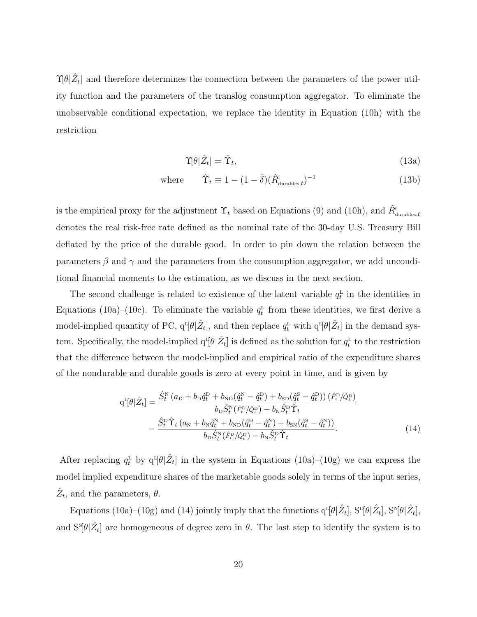$\Upsilon[\theta|\hat{Z}_t]$  and therefore determines the connection between the parameters of the power utility function and the parameters of the translog consumption aggregator. To eliminate the unobservable conditional expectation, we replace the identity in Equation [\(10h\)](#page-14-2) with the restriction

$$
\Upsilon[\theta|\hat{Z}_t] = \hat{\Upsilon}_t,\tag{13a}
$$

where  $\hat{\Upsilon}_t \equiv 1 - (1 - \hat{\delta})(\hat{R}_{\text{durables},t}^{\text{f}})^{-1}$ (13b)

is the empirical proxy for the adjustment  $\Upsilon_t$  based on Equations [\(9\)](#page-13-4) and [\(10h\)](#page-14-2), and  $\hat{R}^{\text{f}}_{\text{durables},t}$ denotes the real risk-free rate defined as the nominal rate of the 30-day U.S. Treasury Bill deflated by the price of the durable good. In order to pin down the relation between the parameters  $\beta$  and  $\gamma$  and the parameters from the consumption aggregator, we add unconditional financial moments to the estimation, as we discuss in the next section.

The second challenge is related to existence of the latent variable  $q_t^L$  in the identities in Equations [\(10a\)](#page-14-0)–[\(10c\)](#page-14-4). To eliminate the variable  $q_t^L$  from these identities, we first derive a model-implied quantity of PC,  $q^I[\theta|\hat{Z}_t]$ , and then replace  $q_t^L$  with  $q^I[\theta|\hat{Z}_t]$  in the demand system. Specifically, the model-implied  $q^{L}[\theta|\hat{Z}_t]$  is defined as the solution for  $q_t^L$  to the restriction that the difference between the model-implied and empirical ratio of the expenditure shares of the nondurable and durable goods is zero at every point in time, and is given by

<span id="page-21-0"></span>
$$
q^{L}[\theta|\hat{Z}_{t}] = \frac{\hat{S}_{t}^{N}(a_{D} + b_{D}\hat{q}_{t}^{D} + b_{ND}(\hat{q}_{t}^{N} - \hat{q}_{t}^{D}) + b_{SD}(\hat{q}_{t}^{S} - \hat{q}_{t}^{D})) (\hat{F}_{t}^{D}/\hat{Q}_{t}^{D})}{b_{D}\hat{S}_{t}^{N}(\hat{F}_{t}^{D}/\hat{Q}_{t}^{D}) - b_{N}\hat{S}_{t}^{D}\hat{\Upsilon}_{t}} - \frac{\hat{S}_{t}^{D}\hat{\Upsilon}_{t}(a_{N} + b_{N}\hat{q}_{t}^{N} + b_{ND}(\hat{q}_{t}^{D} - \hat{q}_{t}^{N}) + b_{SN}(\hat{q}_{t}^{S} - \hat{q}_{t}^{N}))}{b_{D}\hat{S}_{t}^{N}(\hat{F}_{t}^{D}/\hat{Q}_{t}^{D}) - b_{N}\hat{S}_{t}^{D}\hat{\Upsilon}_{t}}
$$
\n(14)

After replacing  $q_t^L$  by  $q^L[\theta|\hat{Z}_t]$  in the system in Equations [\(10a\)](#page-14-0)–[\(10g\)](#page-14-1) we can express the model implied expenditure shares of the marketable goods solely in terms of the input series,  $\hat{Z}_t$ , and the parameters,  $\theta$ .

Equations [\(10a\)](#page-14-0)–[\(10g\)](#page-14-1) and [\(14\)](#page-21-0) jointly imply that the functions  $q^{L}[\theta|\hat{Z}_t]$ ,  $S^{D}[\theta|\hat{Z}_t]$ ,  $S^{N}[\theta|\hat{Z}_t]$ , and  $S^s[\theta|\hat{Z}_t]$  are homogeneous of degree zero in  $\theta$ . The last step to identify the system is to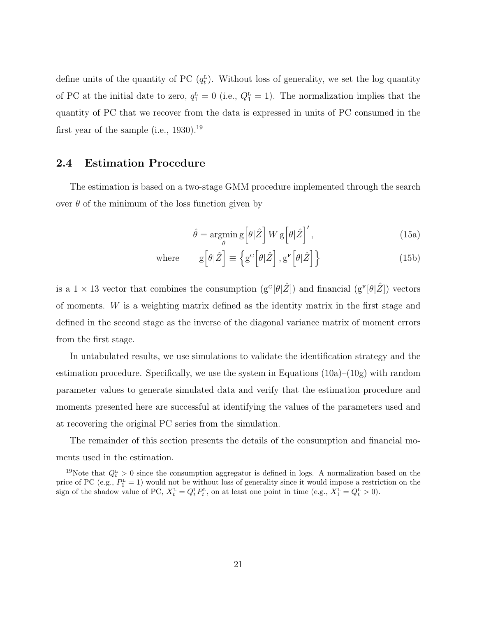define units of the quantity of PC  $(q_t^L)$ . Without loss of generality, we set the log quantity of PC at the initial date to zero,  $q_1^{\text{L}} = 0$  (i.e.,  $Q_1^{\text{L}} = 1$ ). The normalization implies that the quantity of PC that we recover from the data is expressed in units of PC consumed in the first year of the sample (i.e.,  $1930$  $1930$ ).<sup>19</sup>

### 2.4 Estimation Procedure

<span id="page-22-1"></span>The estimation is based on a two-stage GMM procedure implemented through the search over  $\theta$  of the minimum of the loss function given by

$$
\hat{\theta} = \underset{\theta}{\text{argmin}} \, \text{g} \left[ \theta | \hat{Z} \right] W \, \text{g} \left[ \theta | \hat{Z} \right]',\tag{15a}
$$

where 
$$
g\left[\theta|\hat{Z}\right] \equiv \left\{g^c\left[\theta|\hat{Z}\right], g^F\left[\theta|\hat{Z}\right]\right\}
$$
 (15b)

is a  $1 \times 13$  vector that combines the consumption  $(g^{\circ}[\theta|\hat{Z}])$  and financial  $(g^{\text{F}}[\theta|\hat{Z}])$  vectors of moments.  $W$  is a weighting matrix defined as the identity matrix in the first stage and defined in the second stage as the inverse of the diagonal variance matrix of moment errors from the first stage.

In untabulated results, we use simulations to validate the identification strategy and the estimation procedure. Specifically, we use the system in Equations [\(10a\)](#page-14-0)–[\(10g\)](#page-14-1) with random parameter values to generate simulated data and verify that the estimation procedure and moments presented here are successful at identifying the values of the parameters used and at recovering the original PC series from the simulation.

The remainder of this section presents the details of the consumption and financial moments used in the estimation.

<span id="page-22-0"></span><sup>&</sup>lt;sup>19</sup>Note that  $Q_t^L > 0$  since the consumption aggregator is defined in logs. A normalization based on the price of PC (e.g.,  $P_1^{\text{L}} = 1$ ) would not be without loss of generality since it would impose a restriction on the sign of the shadow value of PC,  $X_t^{\text{L}} = Q_t^{\text{L}} P_t^{\text{L}}$ , on at least one point in time (e.g.,  $X_1^{\text{L}} = Q_t^{\text{L}} > 0$ ).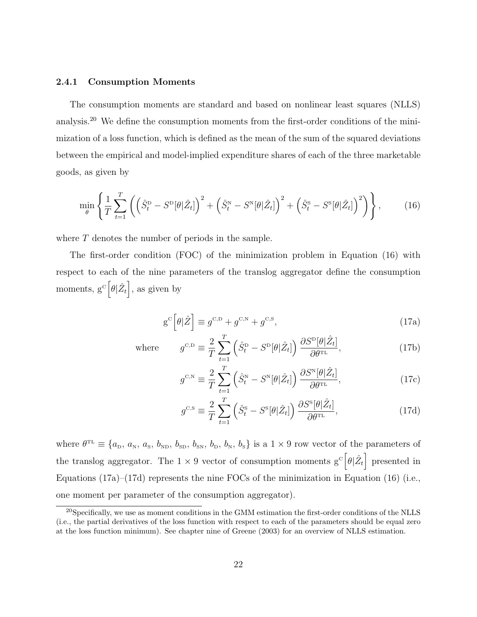#### <span id="page-23-0"></span>2.4.1 Consumption Moments

The consumption moments are standard and based on nonlinear least squares (NLLS) analysis.[20](#page-23-1) We define the consumption moments from the first-order conditions of the minimization of a loss function, which is defined as the mean of the sum of the squared deviations between the empirical and model-implied expenditure shares of each of the three marketable goods, as given by

$$
\min_{\theta} \left\{ \frac{1}{T} \sum_{t=1}^{T} \left( \left( \hat{S}_t^{\text{D}} - S^{\text{D}}[\theta | \hat{Z}_t] \right)^2 + \left( \hat{S}_t^{\text{N}} - S^{\text{N}}[\theta | \hat{Z}_t] \right)^2 + \left( \hat{S}_t^{\text{S}} - S^{\text{S}}[\theta | \hat{Z}_t] \right)^2 \right) \right\}, \tag{16}
$$

where  $T$  denotes the number of periods in the sample.

The first-order condition (FOC) of the minimization problem in Equation [\(16\)](#page-23-2) with respect to each of the nine parameters of the translog aggregator define the consumption moments,  $g^c [\theta | \hat{Z}_t]$ , as given by

<span id="page-23-2"></span>
$$
g^{C} \left[ \theta | \hat{Z} \right] \equiv g^{C,D} + g^{C,N} + g^{C,S}, \tag{17a}
$$

where 
$$
g^{\text{c},\text{D}} \equiv \frac{2}{T} \sum_{t=1}^{T} \left( \hat{S}_t^{\text{D}} - S^{\text{D}}[\theta | \hat{Z}_t] \right) \frac{\partial S^{\text{D}}[\theta | \hat{Z}_t]}{\partial \theta^{\text{TL}}},
$$
(17b)

<span id="page-23-3"></span>
$$
g^{\scriptscriptstyle \text{C,N}} \equiv \frac{2}{T} \sum_{t=1}^{T} \left( \hat{S}_t^{\scriptscriptstyle \text{N}} - S^{\scriptscriptstyle \text{N}}[\theta | \hat{Z}_t] \right) \frac{\partial S^{\scriptscriptstyle \text{N}}[\theta | \hat{Z}_t]}{\partial \theta^{\scriptscriptstyle \text{TL}}},\tag{17c}
$$

<span id="page-23-4"></span>
$$
g^{\text{C,S}} \equiv \frac{2}{T} \sum_{t=1}^{T} \left( \hat{S}_t^{\text{S}} - S^{\text{S}}[\theta | \hat{Z}_t] \right) \frac{\partial S^{\text{S}}[\theta | \hat{Z}_t]}{\partial \theta^{\text{TL}}},\tag{17d}
$$

where  $\theta^{\text{TL}} \equiv \{a_{\text{D}}, a_{\text{N}}, a_{\text{S}}, b_{\text{ND}}, b_{\text{SD}}, b_{\text{SN}}, b_{\text{D}}, b_{\text{N}}, b_{\text{S}}\}$  is a  $1 \times 9$  row vector of the parameters of the translog aggregator. The  $1 \times 9$  vector of consumption moments  $g^c \left[\theta | \hat{Z}_t\right]$  presented in Equations [\(17a\)](#page-23-3)–[\(17d\)](#page-23-4) represents the nine FOCs of the minimization in Equation [\(16\)](#page-23-2) (i.e., one moment per parameter of the consumption aggregator).

<span id="page-23-1"></span> $^{20}$ Specifically, we use as moment conditions in the GMM estimation the first-order conditions of the NLLS (i.e., the partial derivatives of the loss function with respect to each of the parameters should be equal zero at the loss function minimum). See chapter nine of [Greene](#page-40-12) [\(2003\)](#page-40-12) for an overview of NLLS estimation.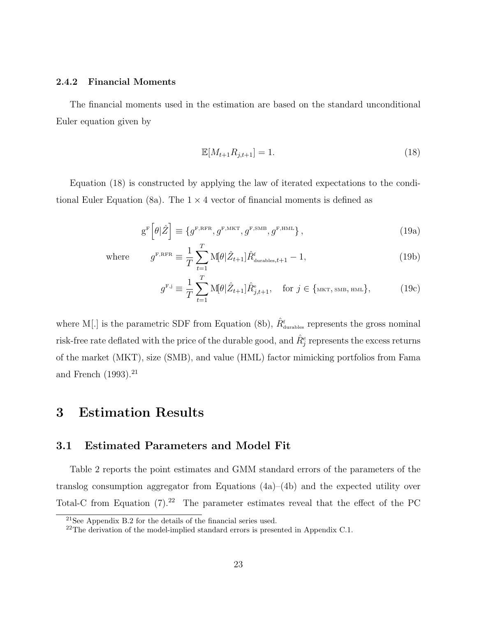### <span id="page-24-0"></span>2.4.2 Financial Moments

The financial moments used in the estimation are based on the standard unconditional Euler equation given by

<span id="page-24-1"></span>
$$
\mathbb{E}[M_{t+1}R_{j,t+1}] = 1. \tag{18}
$$

Equation [\(18\)](#page-24-1) is constructed by applying the law of iterated expectations to the condi-tional Euler Equation [\(8a\)](#page-13-1). The  $1 \times 4$  vector of financial moments is defined as

$$
g^{F}\left[\theta|\hat{Z}\right] \equiv \{g^{F,RFR}, g^{F,MKT}, g^{F,SMB}, g^{F,HML}\},\tag{19a}
$$

where

$$
g^{\text{F,RFR}} \equiv \frac{1}{T} \sum_{t=1}^{T} M[\theta | \hat{Z}_{t+1}] \hat{R}_{\text{durables},t+1}^{t} - 1, \tag{19b}
$$

$$
g^{\mathbf{F},j} \equiv \frac{1}{T} \sum_{t=1}^{T} \mathbf{M}[\theta | \hat{Z}_{t+1}] \hat{R}_{j,t+1}^{\mathbf{e}}, \quad \text{for } j \in \{\text{MKT}, \text{SMB}, \text{HML}\},\tag{19c}
$$

where M[.] is the parametric SDF from Equation [\(8b\)](#page-13-3),  $\hat{R}_{\text{durables}}^{\text{f}}$  represents the gross nominal risk-free rate deflated with the price of the durable good, and  $\hat{R}^e_j$  represents the excess returns of the market (MKT), size (SMB), and value (HML) factor mimicking portfolios from [Fama](#page-40-5) [and French](#page-40-5)  $(1993).^{21}$  $(1993).^{21}$  $(1993).^{21}$  $(1993).^{21}$ 

# <span id="page-24-4"></span>3 Estimation Results

### 3.1 Estimated Parameters and Model Fit

Table [2](#page-54-0) reports the point estimates and GMM standard errors of the parameters of the translog consumption aggregator from Equations [\(4a\)](#page-11-1)–[\(4b\)](#page-11-2) and the expected utility over Total-C from Equation  $(7).^{22}$  $(7).^{22}$  $(7).^{22}$  The parameter estimates reveal that the effect of the PC

<span id="page-24-2"></span><sup>21</sup>See Appendix [B.2](#page-44-0) for the details of the financial series used.

<span id="page-24-3"></span> $^{22}$ The derivation of the model-implied standard errors is presented in Appendix [C.1.](#page-45-0)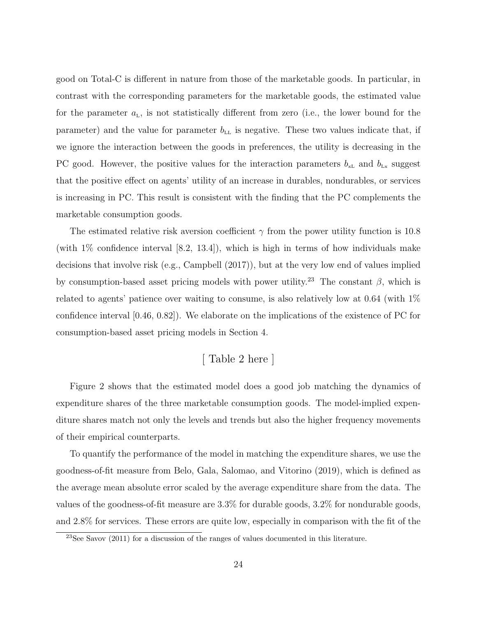good on Total-C is different in nature from those of the marketable goods. In particular, in contrast with the corresponding parameters for the marketable goods, the estimated value for the parameter  $a_{\text{L}}$ , is not statistically different from zero (i.e., the lower bound for the parameter) and the value for parameter  $b_{\text{LL}}$  is negative. These two values indicate that, if we ignore the interaction between the goods in preferences, the utility is decreasing in the PC good. However, the positive values for the interaction parameters  $b_{\rm xL}$  and  $b_{\rm Lx}$  suggest that the positive effect on agents' utility of an increase in durables, nondurables, or services is increasing in PC. This result is consistent with the finding that the PC complements the marketable consumption goods.

The estimated relative risk aversion coefficient  $\gamma$  from the power utility function is 10.8 (with 1% confidence interval [8.2, 13.4]), which is high in terms of how individuals make decisions that involve risk (e.g., [Campbell](#page-39-7) [\(2017\)](#page-39-7)), but at the very low end of values implied by consumption-based asset pricing models with power utility.<sup>[23](#page-25-0)</sup> The constant  $\beta$ , which is related to agents' patience over waiting to consume, is also relatively low at 0.64 (with 1% confidence interval [0.46, 0.82]). We elaborate on the implications of the existence of PC for consumption-based asset pricing models in Section [4.](#page-34-0)

# [ Table [2](#page-54-0) here ]

Figure [2](#page-48-0) shows that the estimated model does a good job matching the dynamics of expenditure shares of the three marketable consumption goods. The model-implied expenditure shares match not only the levels and trends but also the higher frequency movements of their empirical counterparts.

To quantify the performance of the model in matching the expenditure shares, we use the goodness-of-fit measure from [Belo, Gala, Salomao, and Vitorino](#page-38-9) [\(2019\)](#page-38-9), which is defined as the average mean absolute error scaled by the average expenditure share from the data. The values of the goodness-of-fit measure are 3.3% for durable goods, 3.2% for nondurable goods, and 2.8% for services. These errors are quite low, especially in comparison with the fit of the

<span id="page-25-0"></span> $23$ See [Savov](#page-40-6) [\(2011\)](#page-40-6) for a discussion of the ranges of values documented in this literature.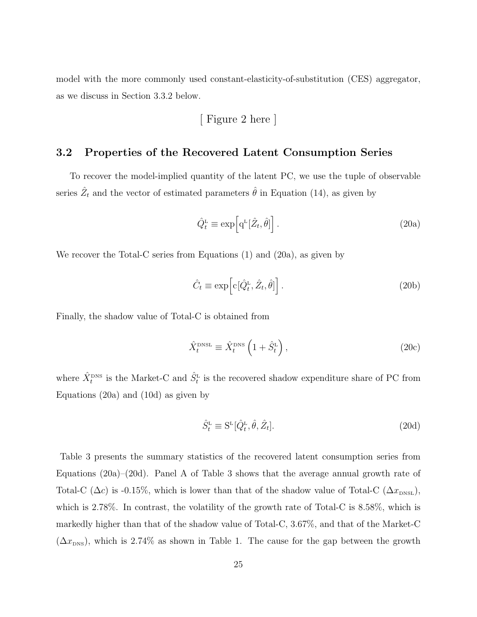model with the more commonly used constant-elasticity-of-substitution (CES) aggregator, as we discuss in Section [3.3.2](#page-33-0) below.

[ Figure [2](#page-48-0) here ]

## 3.2 Properties of the Recovered Latent Consumption Series

To recover the model-implied quantity of the latent PC, we use the tuple of observable series  $\hat{Z}_t$  and the vector of estimated parameters  $\hat{\theta}$  in Equation [\(14\)](#page-21-0), as given by

<span id="page-26-0"></span>
$$
\hat{Q}_t^{\text{L}} \equiv \exp\left[\mathbf{q}^{\text{L}}[\hat{Z}_t, \hat{\theta}]\right].\tag{20a}
$$

We recover the Total-C series from Equations [\(1\)](#page-11-4) and [\(20a\)](#page-26-0), as given by

$$
\hat{C}_t \equiv \exp\left[c[\hat{Q}_t^{\text{L}}, \hat{Z}_t, \hat{\theta}]\right].\tag{20b}
$$

Finally, the shadow value of Total-C is obtained from

$$
\hat{X}_t^{\text{DNSL}} \equiv \hat{X}_t^{\text{DNS}} \left( 1 + \hat{S}_t^{\text{L}} \right),\tag{20c}
$$

where  $\hat{X}^{\text{DNS}}_t$  is the Market-C and  $\hat{S}^{\text{L}}_t$  is the recovered shadow expenditure share of PC from Equations [\(20a\)](#page-26-0) and [\(10d\)](#page-14-5) as given by

<span id="page-26-1"></span>
$$
\hat{S}_t^{\text{L}} \equiv \mathbf{S}^{\text{L}}[\hat{Q}_t^{\text{L}}, \hat{\theta}, \hat{Z}_t]. \tag{20d}
$$

Table [3](#page-55-0) presents the summary statistics of the recovered latent consumption series from Equations [\(20a\)](#page-26-0)–[\(20d\)](#page-26-1). Panel A of Table [3](#page-55-0) shows that the average annual growth rate of Total-C ( $\Delta c$ ) is -0.15%, which is lower than that of the shadow value of Total-C ( $\Delta x_{\text{DNSL}}$ ), which is 2.78%. In contrast, the volatility of the growth rate of Total-C is 8.58%, which is markedly higher than that of the shadow value of Total-C, 3.67%, and that of the Market-C  $(\Delta x_{\text{DNS}})$ , which is 2.74% as shown in Table [1.](#page-52-0) The cause for the gap between the growth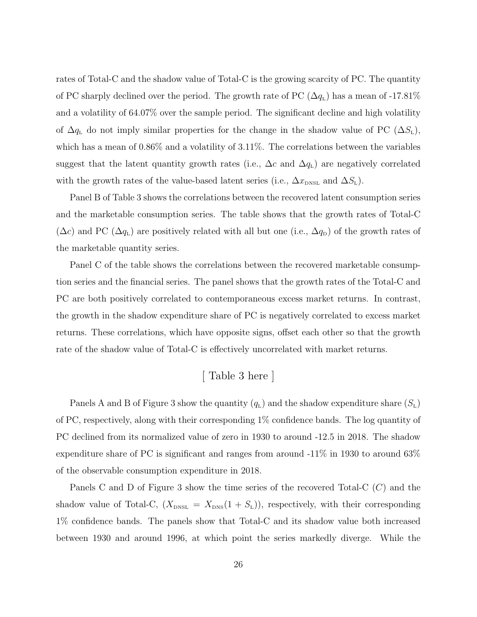rates of Total-C and the shadow value of Total-C is the growing scarcity of PC. The quantity of PC sharply declined over the period. The growth rate of PC  $(\Delta q_L)$  has a mean of -17.81% and a volatility of 64.07% over the sample period. The significant decline and high volatility of  $\Delta q_L$  do not imply similar properties for the change in the shadow value of PC  $(\Delta S_L)$ , which has a mean of 0.86% and a volatility of 3.11%. The correlations between the variables suggest that the latent quantity growth rates (i.e.,  $\Delta c$  and  $\Delta q_{\text{L}}$ ) are negatively correlated with the growth rates of the value-based latent series (i.e.,  $\Delta x_{\text{DNSL}}$  and  $\Delta S_{\text{L}}$ ).

Panel B of Table [3](#page-55-0) shows the correlations between the recovered latent consumption series and the marketable consumption series. The table shows that the growth rates of Total-C  $(\Delta c)$  and PC  $(\Delta q_L)$  are positively related with all but one (i.e.,  $\Delta q_D$ ) of the growth rates of the marketable quantity series.

Panel C of the table shows the correlations between the recovered marketable consumption series and the financial series. The panel shows that the growth rates of the Total-C and PC are both positively correlated to contemporaneous excess market returns. In contrast, the growth in the shadow expenditure share of PC is negatively correlated to excess market returns. These correlations, which have opposite signs, offset each other so that the growth rate of the shadow value of Total-C is effectively uncorrelated with market returns.

# [ Table [3](#page-55-0) here ]

Panels A and B of Figure [3](#page-49-0) show the quantity  $(q_L)$  and the shadow expenditure share  $(S_L)$ of PC, respectively, along with their corresponding 1% confidence bands. The log quantity of PC declined from its normalized value of zero in 1930 to around -12.5 in 2018. The shadow expenditure share of PC is significant and ranges from around -11% in 1930 to around 63% of the observable consumption expenditure in 2018.

Panels C and D of Figure [3](#page-49-0) show the time series of the recovered Total-C  $(C)$  and the shadow value of Total-C,  $(X_{\text{DNS}} = X_{\text{DNS}}(1 + S_{\text{L}}))$ , respectively, with their corresponding 1% confidence bands. The panels show that Total-C and its shadow value both increased between 1930 and around 1996, at which point the series markedly diverge. While the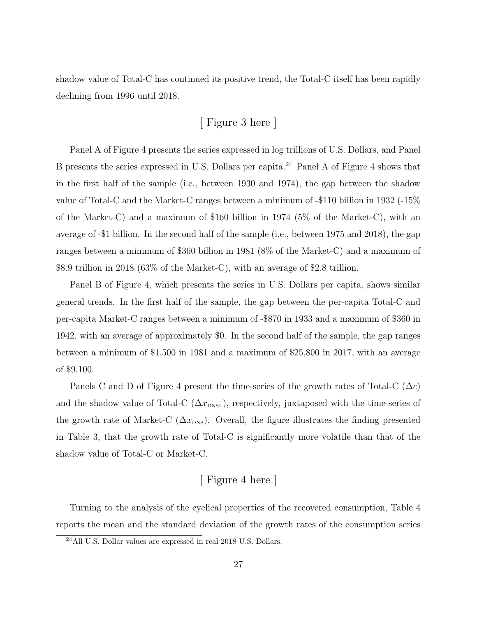shadow value of Total-C has continued its positive trend, the Total-C itself has been rapidly declining from 1996 until 2018.

# [ Figure [3](#page-49-0) here ]

Panel A of Figure [4](#page-50-0) presents the series expressed in log trillions of U.S. Dollars, and Panel B presents the series expressed in U.S. Dollars per capita.[24](#page-28-0) Panel A of Figure [4](#page-50-0) shows that in the first half of the sample (i.e., between 1930 and 1974), the gap between the shadow value of Total-C and the Market-C ranges between a minimum of -\$110 billion in 1932 (-15% of the Market-C) and a maximum of \$160 billion in 1974 (5% of the Market-C), with an average of -\$1 billion. In the second half of the sample (i.e., between 1975 and 2018), the gap ranges between a minimum of \$360 billion in 1981 (8% of the Market-C) and a maximum of \$8.9 trillion in 2018 (63% of the Market-C), with an average of \$2.8 trillion.

Panel B of Figure [4,](#page-50-0) which presents the series in U.S. Dollars per capita, shows similar general trends. In the first half of the sample, the gap between the per-capita Total-C and per-capita Market-C ranges between a minimum of -\$870 in 1933 and a maximum of \$360 in 1942, with an average of approximately \$0. In the second half of the sample, the gap ranges between a minimum of \$1,500 in 1981 and a maximum of \$25,800 in 2017, with an average of \$9,100.

Panels C and D of Figure [4](#page-50-0) present the time-series of the growth rates of Total-C  $(\Delta c)$ and the shadow value of Total-C  $(\Delta x_{\text{DNSL}})$ , respectively, juxtaposed with the time-series of the growth rate of Market-C  $(\Delta x_{\text{DNS}})$ . Overall, the figure illustrates the finding presented in Table [3,](#page-55-0) that the growth rate of Total-C is significantly more volatile than that of the shadow value of Total-C or Market-C.

# [ Figure [4](#page-50-0) here ]

Turning to the analysis of the cyclical properties of the recovered consumption, Table [4](#page-56-0) reports the mean and the standard deviation of the growth rates of the consumption series

<span id="page-28-0"></span><sup>24</sup>All U.S. Dollar values are expressed in real 2018 U.S. Dollars.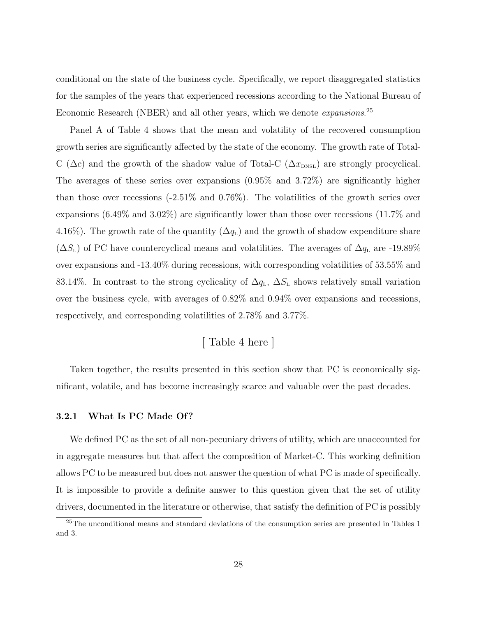conditional on the state of the business cycle. Specifically, we report disaggregated statistics for the samples of the years that experienced recessions according to the National Bureau of Economic Research (NBER) and all other years, which we denote *expansions*.<sup>[25](#page-29-0)</sup>

Panel A of Table [4](#page-56-0) shows that the mean and volatility of the recovered consumption growth series are significantly affected by the state of the economy. The growth rate of Total-C ( $\Delta c$ ) and the growth of the shadow value of Total-C ( $\Delta x_{\text{DNSL}}$ ) are strongly procyclical. The averages of these series over expansions (0.95% and 3.72%) are significantly higher than those over recessions (-2.51% and 0.76%). The volatilities of the growth series over expansions (6.49% and 3.02%) are significantly lower than those over recessions (11.7% and 4.16%). The growth rate of the quantity  $(\Delta q_L)$  and the growth of shadow expenditure share  $(\Delta S_{\text{L}})$  of PC have countercyclical means and volatilities. The averages of  $\Delta q_{\text{L}}$  are -19.89% over expansions and -13.40% during recessions, with corresponding volatilities of 53.55% and 83.14%. In contrast to the strong cyclicality of  $\Delta q_L$ ,  $\Delta S_L$  shows relatively small variation over the business cycle, with averages of 0.82% and 0.94% over expansions and recessions, respectively, and corresponding volatilities of 2.78% and 3.77%.

[ Table [4](#page-56-0) here ]

Taken together, the results presented in this section show that PC is economically significant, volatile, and has become increasingly scarce and valuable over the past decades.

### 3.2.1 What Is PC Made Of?

We defined PC as the set of all non-pecuniary drivers of utility, which are unaccounted for in aggregate measures but that affect the composition of Market-C. This working definition allows PC to be measured but does not answer the question of what PC is made of specifically. It is impossible to provide a definite answer to this question given that the set of utility drivers, documented in the literature or otherwise, that satisfy the definition of PC is possibly

<span id="page-29-0"></span><sup>&</sup>lt;sup>25</sup>The unconditional means and standard deviations of the consumption series are presented in Tables [1](#page-52-0) and [3.](#page-55-0)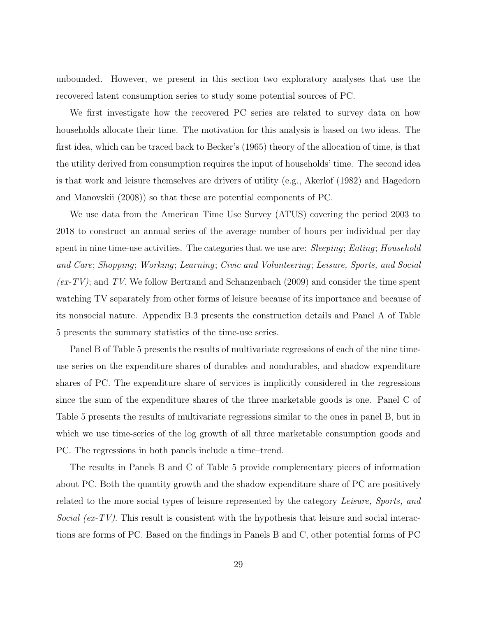unbounded. However, we present in this section two exploratory analyses that use the recovered latent consumption series to study some potential sources of PC.

We first investigate how the recovered PC series are related to survey data on how households allocate their time. The motivation for this analysis is based on two ideas. The first idea, which can be traced back to [Becker'](#page-38-0)s [\(1965\)](#page-38-0) theory of the allocation of time, is that the utility derived from consumption requires the input of households' time. The second idea is that work and leisure themselves are drivers of utility (e.g., [Akerlof](#page-38-1) [\(1982\)](#page-38-1) and [Hagedorn](#page-40-3) [and Manovskii](#page-40-3) [\(2008\)](#page-40-3)) so that these are potential components of PC.

We use data from the American Time Use Survey (ATUS) covering the period 2003 to 2018 to construct an annual series of the average number of hours per individual per day spent in nine time-use activities. The categories that we use are: Sleeping; Eating; Household and Care; Shopping; Working; Learning; Civic and Volunteering; Leisure, Sports, and Social  $(ex-TV)$ ; and TV. We follow [Bertrand and Schanzenbach](#page-38-10) [\(2009\)](#page-38-10) and consider the time spent watching TV separately from other forms of leisure because of its importance and because of its nonsocial nature. Appendix [B.3](#page-44-1) presents the construction details and Panel A of Table [5](#page-57-0) presents the summary statistics of the time-use series.

Panel B of Table [5](#page-57-0) presents the results of multivariate regressions of each of the nine timeuse series on the expenditure shares of durables and nondurables, and shadow expenditure shares of PC. The expenditure share of services is implicitly considered in the regressions since the sum of the expenditure shares of the three marketable goods is one. Panel C of Table [5](#page-57-0) presents the results of multivariate regressions similar to the ones in panel B, but in which we use time-series of the log growth of all three marketable consumption goods and PC. The regressions in both panels include a time–trend.

The results in Panels B and C of Table [5](#page-57-0) provide complementary pieces of information about PC. Both the quantity growth and the shadow expenditure share of PC are positively related to the more social types of leisure represented by the category Leisure, Sports, and Social (ex-TV). This result is consistent with the hypothesis that leisure and social interactions are forms of PC. Based on the findings in Panels B and C, other potential forms of PC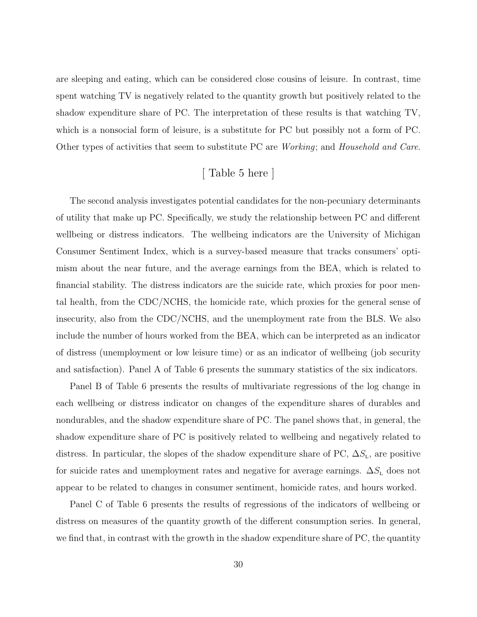are sleeping and eating, which can be considered close cousins of leisure. In contrast, time spent watching TV is negatively related to the quantity growth but positively related to the shadow expenditure share of PC. The interpretation of these results is that watching TV, which is a nonsocial form of leisure, is a substitute for PC but possibly not a form of PC. Other types of activities that seem to substitute PC are Working; and Household and Care.

# [ Table [5](#page-57-0) here ]

The second analysis investigates potential candidates for the non-pecuniary determinants of utility that make up PC. Specifically, we study the relationship between PC and different wellbeing or distress indicators. The wellbeing indicators are the University of Michigan Consumer Sentiment Index, which is a survey-based measure that tracks consumers' optimism about the near future, and the average earnings from the BEA, which is related to financial stability. The distress indicators are the suicide rate, which proxies for poor mental health, from the CDC/NCHS, the homicide rate, which proxies for the general sense of insecurity, also from the CDC/NCHS, and the unemployment rate from the BLS. We also include the number of hours worked from the BEA, which can be interpreted as an indicator of distress (unemployment or low leisure time) or as an indicator of wellbeing (job security and satisfaction). Panel A of Table [6](#page-58-0) presents the summary statistics of the six indicators.

Panel B of Table [6](#page-58-0) presents the results of multivariate regressions of the log change in each wellbeing or distress indicator on changes of the expenditure shares of durables and nondurables, and the shadow expenditure share of PC. The panel shows that, in general, the shadow expenditure share of PC is positively related to wellbeing and negatively related to distress. In particular, the slopes of the shadow expenditure share of PC,  $\Delta S_{\text{L}}$ , are positive for suicide rates and unemployment rates and negative for average earnings.  $\Delta S_{\text{L}}$  does not appear to be related to changes in consumer sentiment, homicide rates, and hours worked.

Panel C of Table [6](#page-58-0) presents the results of regressions of the indicators of wellbeing or distress on measures of the quantity growth of the different consumption series. In general, we find that, in contrast with the growth in the shadow expenditure share of PC, the quantity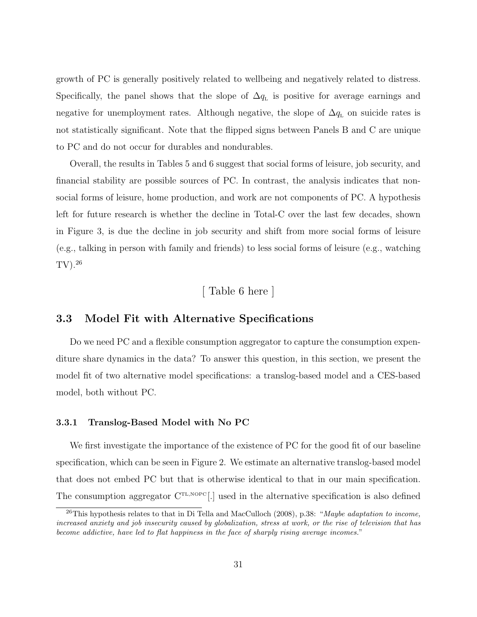growth of PC is generally positively related to wellbeing and negatively related to distress. Specifically, the panel shows that the slope of  $\Delta q_{\rm L}$  is positive for average earnings and negative for unemployment rates. Although negative, the slope of  $\Delta q_{\rm L}$  on suicide rates is not statistically significant. Note that the flipped signs between Panels B and C are unique to PC and do not occur for durables and nondurables.

Overall, the results in Tables [5](#page-57-0) and [6](#page-58-0) suggest that social forms of leisure, job security, and financial stability are possible sources of PC. In contrast, the analysis indicates that nonsocial forms of leisure, home production, and work are not components of PC. A hypothesis left for future research is whether the decline in Total-C over the last few decades, shown in Figure [3,](#page-49-0) is due the decline in job security and shift from more social forms of leisure (e.g., talking in person with family and friends) to less social forms of leisure (e.g., watching TV).[26](#page-32-0)

# [ Table [6](#page-58-0) here ]

# <span id="page-32-2"></span>3.3 Model Fit with Alternative Specifications

Do we need PC and a flexible consumption aggregator to capture the consumption expenditure share dynamics in the data? To answer this question, in this section, we present the model fit of two alternative model specifications: a translog-based model and a CES-based model, both without PC.

### <span id="page-32-1"></span>3.3.1 Translog-Based Model with No PC

We first investigate the importance of the existence of PC for the good fit of our baseline specification, which can be seen in Figure [2.](#page-48-0) We estimate an alternative translog-based model that does not embed PC but that is otherwise identical to that in our main specification. The consumption aggregator  $C^{TL,NOPC}$ . used in the alternative specification is also defined

<span id="page-32-0"></span> $^{26}$ This hypothesis relates to that in [Di Tella and MacCulloch](#page-39-8) [\(2008\)](#page-39-8), p.38: "Maybe adaptation to income, increased anxiety and job insecurity caused by globalization, stress at work, or the rise of television that has become addictive, have led to flat happiness in the face of sharply rising average incomes."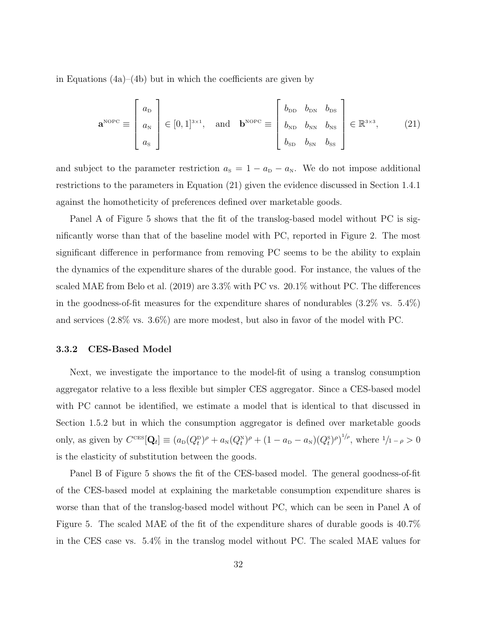in Equations [\(4a\)](#page-11-1)–[\(4b\)](#page-11-2) but in which the coefficients are given by

<span id="page-33-1"></span>
$$
\mathbf{a}^{\text{NOPC}} \equiv \begin{bmatrix} a_{\text{D}} \\ a_{\text{N}} \\ a_{\text{S}} \end{bmatrix} \in [0, 1]^{3 \times 1}, \text{ and } \mathbf{b}^{\text{NOPC}} \equiv \begin{bmatrix} b_{\text{DD}} & b_{\text{DN}} & b_{\text{DS}} \\ b_{\text{ND}} & b_{\text{NN}} & b_{\text{NS}} \\ b_{\text{SD}} & b_{\text{SN}} & b_{\text{SS}} \end{bmatrix} \in \mathbb{R}^{3 \times 3}, \quad (21)
$$

and subject to the parameter restriction  $a_{\rm s} = 1 - a_{\rm p} - a_{\rm N}$ . We do not impose additional restrictions to the parameters in Equation [\(21\)](#page-33-1) given the evidence discussed in Section [1.4.1](#page-11-5) against the homotheticity of preferences defined over marketable goods.

Panel A of Figure [5](#page-51-0) shows that the fit of the translog-based model without PC is significantly worse than that of the baseline model with PC, reported in Figure [2.](#page-48-0) The most significant difference in performance from removing PC seems to be the ability to explain the dynamics of the expenditure shares of the durable good. For instance, the values of the scaled MAE from [Belo et al.](#page-38-9) [\(2019\)](#page-38-9) are 3.3% with PC vs. 20.1% without PC. The differences in the goodness-of-fit measures for the expenditure shares of nondurables (3.2% vs. 5.4%) and services (2.8% vs. 3.6%) are more modest, but also in favor of the model with PC.

#### <span id="page-33-0"></span>3.3.2 CES-Based Model

Next, we investigate the importance to the model-fit of using a translog consumption aggregator relative to a less flexible but simpler CES aggregator. Since a CES-based model with PC cannot be identified, we estimate a model that is identical to that discussed in Section [1.5.2](#page-16-0) but in which the consumption aggregator is defined over marketable goods only, as given by  $C^{\text{CES}}[Q_t] \equiv (a_D(Q_t^D)^{\rho} + a_N(Q_t^N)^{\rho} + (1 - a_D - a_N)(Q_t^S)^{\rho})^{1/\rho}$ , where  $1/1 - \rho > 0$ is the elasticity of substitution between the goods.

Panel B of Figure [5](#page-51-0) shows the fit of the CES-based model. The general goodness-of-fit of the CES-based model at explaining the marketable consumption expenditure shares is worse than that of the translog-based model without PC, which can be seen in Panel A of Figure [5.](#page-51-0) The scaled MAE of the fit of the expenditure shares of durable goods is 40.7% in the CES case vs. 5.4% in the translog model without PC. The scaled MAE values for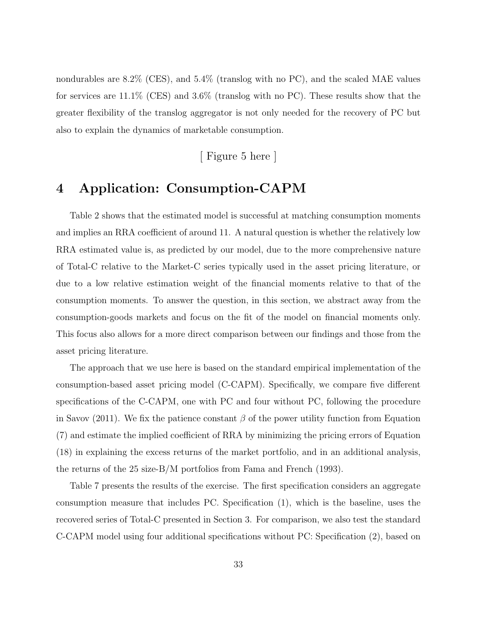nondurables are 8.2% (CES), and 5.4% (translog with no PC), and the scaled MAE values for services are 11.1% (CES) and 3.6% (translog with no PC). These results show that the greater flexibility of the translog aggregator is not only needed for the recovery of PC but also to explain the dynamics of marketable consumption.

[ Figure [5](#page-51-0) here ]

# <span id="page-34-0"></span>4 Application: Consumption-CAPM

Table [2](#page-54-0) shows that the estimated model is successful at matching consumption moments and implies an RRA coefficient of around 11. A natural question is whether the relatively low RRA estimated value is, as predicted by our model, due to the more comprehensive nature of Total-C relative to the Market-C series typically used in the asset pricing literature, or due to a low relative estimation weight of the financial moments relative to that of the consumption moments. To answer the question, in this section, we abstract away from the consumption-goods markets and focus on the fit of the model on financial moments only. This focus also allows for a more direct comparison between our findings and those from the asset pricing literature.

The approach that we use here is based on the standard empirical implementation of the consumption-based asset pricing model (C-CAPM). Specifically, we compare five different specifications of the C-CAPM, one with PC and four without PC, following the procedure in [Savov](#page-40-6) [\(2011\)](#page-40-6). We fix the patience constant  $\beta$  of the power utility function from Equation [\(7\)](#page-13-5) and estimate the implied coefficient of RRA by minimizing the pricing errors of Equation [\(18\)](#page-24-1) in explaining the excess returns of the market portfolio, and in an additional analysis, the returns of the 25 size-B/M portfolios from [Fama and French](#page-40-5) [\(1993\)](#page-40-5).

Table [7](#page-59-0) presents the results of the exercise. The first specification considers an aggregate consumption measure that includes PC. Specification (1), which is the baseline, uses the recovered series of Total-C presented in Section [3.](#page-24-4) For comparison, we also test the standard C-CAPM model using four additional specifications without PC: Specification (2), based on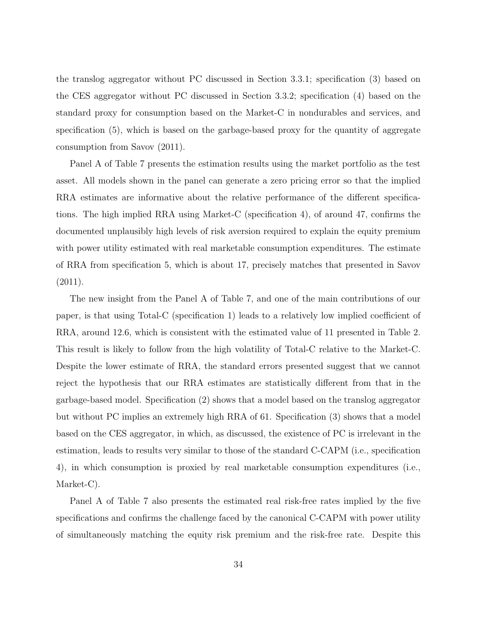the translog aggregator without PC discussed in Section [3.3.1;](#page-32-1) specification (3) based on the CES aggregator without PC discussed in Section [3.3.2;](#page-33-0) specification (4) based on the standard proxy for consumption based on the Market-C in nondurables and services, and specification (5), which is based on the garbage-based proxy for the quantity of aggregate consumption from [Savov](#page-40-6) [\(2011\)](#page-40-6).

Panel A of Table [7](#page-59-0) presents the estimation results using the market portfolio as the test asset. All models shown in the panel can generate a zero pricing error so that the implied RRA estimates are informative about the relative performance of the different specifications. The high implied RRA using Market-C (specification 4), of around 47, confirms the documented unplausibly high levels of risk aversion required to explain the equity premium with power utility estimated with real marketable consumption expenditures. The estimate of RRA from specification 5, which is about 17, precisely matches that presented in [Savov](#page-40-6) [\(2011\)](#page-40-6).

The new insight from the Panel A of Table [7,](#page-59-0) and one of the main contributions of our paper, is that using Total-C (specification 1) leads to a relatively low implied coefficient of RRA, around 12.6, which is consistent with the estimated value of 11 presented in Table [2.](#page-54-0) This result is likely to follow from the high volatility of Total-C relative to the Market-C. Despite the lower estimate of RRA, the standard errors presented suggest that we cannot reject the hypothesis that our RRA estimates are statistically different from that in the garbage-based model. Specification (2) shows that a model based on the translog aggregator but without PC implies an extremely high RRA of 61. Specification (3) shows that a model based on the CES aggregator, in which, as discussed, the existence of PC is irrelevant in the estimation, leads to results very similar to those of the standard C-CAPM (i.e., specification 4), in which consumption is proxied by real marketable consumption expenditures (i.e., Market-C).

Panel A of Table [7](#page-59-0) also presents the estimated real risk-free rates implied by the five specifications and confirms the challenge faced by the canonical C-CAPM with power utility of simultaneously matching the equity risk premium and the risk-free rate. Despite this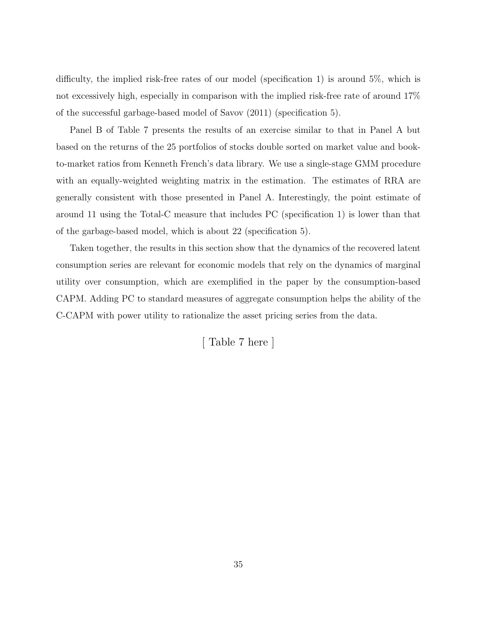difficulty, the implied risk-free rates of our model (specification 1) is around 5%, which is not excessively high, especially in comparison with the implied risk-free rate of around 17% of the successful garbage-based model of [Savov](#page-40-6) [\(2011\)](#page-40-6) (specification 5).

Panel B of Table [7](#page-59-0) presents the results of an exercise similar to that in Panel A but based on the returns of the 25 portfolios of stocks double sorted on market value and bookto-market ratios from Kenneth French's data library. We use a single-stage GMM procedure with an equally-weighted weighting matrix in the estimation. The estimates of RRA are generally consistent with those presented in Panel A. Interestingly, the point estimate of around 11 using the Total-C measure that includes PC (specification 1) is lower than that of the garbage-based model, which is about 22 (specification 5).

Taken together, the results in this section show that the dynamics of the recovered latent consumption series are relevant for economic models that rely on the dynamics of marginal utility over consumption, which are exemplified in the paper by the consumption-based CAPM. Adding PC to standard measures of aggregate consumption helps the ability of the C-CAPM with power utility to rationalize the asset pricing series from the data.

[ Table [7](#page-59-0) here ]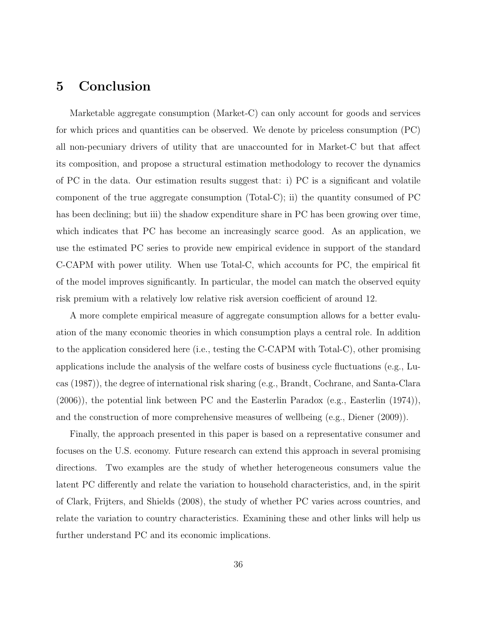# 5 Conclusion

Marketable aggregate consumption (Market-C) can only account for goods and services for which prices and quantities can be observed. We denote by priceless consumption (PC) all non-pecuniary drivers of utility that are unaccounted for in Market-C but that affect its composition, and propose a structural estimation methodology to recover the dynamics of PC in the data. Our estimation results suggest that: i) PC is a significant and volatile component of the true aggregate consumption (Total-C); ii) the quantity consumed of PC has been declining; but iii) the shadow expenditure share in PC has been growing over time, which indicates that PC has become an increasingly scarce good. As an application, we use the estimated PC series to provide new empirical evidence in support of the standard C-CAPM with power utility. When use Total-C, which accounts for PC, the empirical fit of the model improves significantly. In particular, the model can match the observed equity risk premium with a relatively low relative risk aversion coefficient of around 12.

A more complete empirical measure of aggregate consumption allows for a better evaluation of the many economic theories in which consumption plays a central role. In addition to the application considered here (i.e., testing the C-CAPM with Total-C), other promising applications include the analysis of the welfare costs of business cycle fluctuations (e.g., [Lu](#page-40-13)[cas](#page-40-13) [\(1987\)](#page-40-13)), the degree of international risk sharing (e.g., [Brandt, Cochrane, and Santa-Clara](#page-38-11) [\(2006\)](#page-38-11)), the potential link between PC and the Easterlin Paradox (e.g., [Easterlin](#page-39-9) [\(1974\)](#page-39-9)), and the construction of more comprehensive measures of wellbeing (e.g., [Diener](#page-39-10) [\(2009\)](#page-39-10)).

Finally, the approach presented in this paper is based on a representative consumer and focuses on the U.S. economy. Future research can extend this approach in several promising directions. Two examples are the study of whether heterogeneous consumers value the latent PC differently and relate the variation to household characteristics, and, in the spirit of [Clark, Frijters, and Shields](#page-39-11) [\(2008\)](#page-39-11), the study of whether PC varies across countries, and relate the variation to country characteristics. Examining these and other links will help us further understand PC and its economic implications.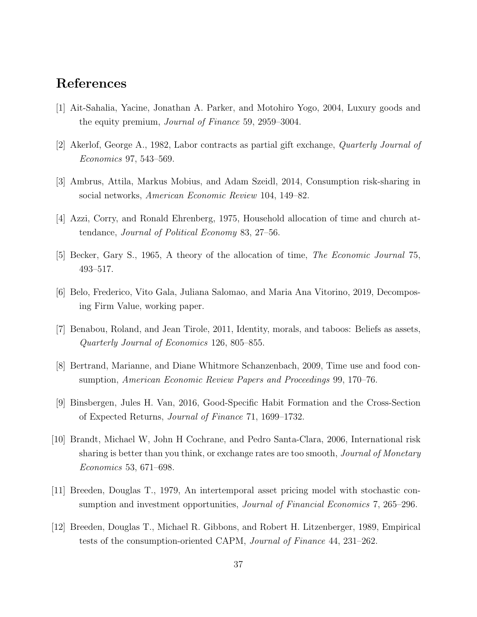# References

- <span id="page-38-6"></span>[1] Ait-Sahalia, Yacine, Jonathan A. Parker, and Motohiro Yogo, 2004, Luxury goods and the equity premium, Journal of Finance 59, 2959–3004.
- <span id="page-38-1"></span>[2] Akerlof, George A., 1982, Labor contracts as partial gift exchange, Quarterly Journal of Economics 97, 543–569.
- <span id="page-38-2"></span>[3] Ambrus, Attila, Markus Mobius, and Adam Szeidl, 2014, Consumption risk-sharing in social networks, American Economic Review 104, 149–82.
- <span id="page-38-3"></span>[4] Azzi, Corry, and Ronald Ehrenberg, 1975, Household allocation of time and church attendance, Journal of Political Economy 83, 27–56.
- <span id="page-38-0"></span>[5] Becker, Gary S., 1965, A theory of the allocation of time, The Economic Journal 75, 493–517.
- <span id="page-38-9"></span>[6] Belo, Frederico, Vito Gala, Juliana Salomao, and Maria Ana Vitorino, 2019, Decomposing Firm Value, working paper.
- <span id="page-38-4"></span>[7] Benabou, Roland, and Jean Tirole, 2011, Identity, morals, and taboos: Beliefs as assets, Quarterly Journal of Economics 126, 805–855.
- <span id="page-38-10"></span>[8] Bertrand, Marianne, and Diane Whitmore Schanzenbach, 2009, Time use and food consumption, American Economic Review Papers and Proceedings 99, 170–76.
- <span id="page-38-7"></span>[9] Binsbergen, Jules H. Van, 2016, Good-Specific Habit Formation and the Cross-Section of Expected Returns, Journal of Finance 71, 1699–1732.
- <span id="page-38-11"></span>[10] Brandt, Michael W, John H Cochrane, and Pedro Santa-Clara, 2006, International risk sharing is better than you think, or exchange rates are too smooth, *Journal of Monetary* Economics 53, 671–698.
- <span id="page-38-8"></span>[11] Breeden, Douglas T., 1979, An intertemporal asset pricing model with stochastic consumption and investment opportunities, *Journal of Financial Economics* 7, 265–296.
- <span id="page-38-5"></span>[12] Breeden, Douglas T., Michael R. Gibbons, and Robert H. Litzenberger, 1989, Empirical tests of the consumption-oriented CAPM, Journal of Finance 44, 231–262.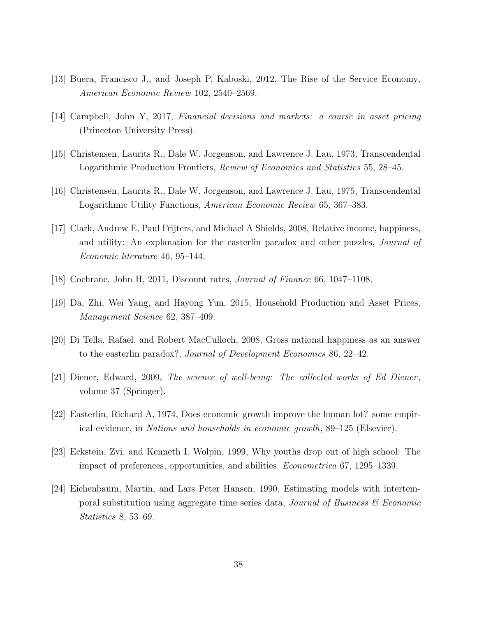- <span id="page-39-6"></span>[13] Buera, Francisco J., and Joseph P. Kaboski, 2012, The Rise of the Service Economy, American Economic Review 102, 2540–2569.
- <span id="page-39-7"></span>[14] Campbell, John Y, 2017, Financial decisions and markets: a course in asset pricing (Princeton University Press).
- <span id="page-39-4"></span>[15] Christensen, Laurits R., Dale W. Jorgenson, and Lawrence J. Lau, 1973, Transcendental Logarithmic Production Frontiers, Review of Economics and Statistics 55, 28–45.
- <span id="page-39-1"></span>[16] Christensen, Laurits R., Dale W. Jorgenson, and Lawrence J. Lau, 1975, Transcendental Logarithmic Utility Functions, American Economic Review 65, 367–383.
- <span id="page-39-11"></span>[17] Clark, Andrew E, Paul Frijters, and Michael A Shields, 2008, Relative income, happiness, and utility: An explanation for the easterlin paradox and other puzzles, Journal of Economic literature 46, 95–144.
- <span id="page-39-2"></span>[18] Cochrane, John H, 2011, Discount rates, Journal of Finance 66, 1047–1108.
- <span id="page-39-3"></span>[19] Da, Zhi, Wei Yang, and Hayong Yun, 2015, Household Production and Asset Prices, Management Science 62, 387–409.
- <span id="page-39-8"></span>[20] Di Tella, Rafael, and Robert MacCulloch, 2008, Gross national happiness as an answer to the easterlin paradox?, Journal of Development Economics 86, 22–42.
- <span id="page-39-10"></span>[21] Diener, Edward, 2009, The science of well-being: The collected works of Ed Diener, volume 37 (Springer).
- <span id="page-39-9"></span>[22] Easterlin, Richard A, 1974, Does economic growth improve the human lot? some empirical evidence, in Nations and households in economic growth, 89–125 (Elsevier).
- <span id="page-39-0"></span>[23] Eckstein, Zvi, and Kenneth I. Wolpin, 1999, Why youths drop out of high school: The impact of preferences, opportunities, and abilities, Econometrica 67, 1295–1339.
- <span id="page-39-5"></span>[24] Eichenbaum, Martin, and Lars Peter Hansen, 1990, Estimating models with intertemporal substitution using aggregate time series data, *Journal of Business*  $\mathscr$  *Economic* Statistics 8, 53–69.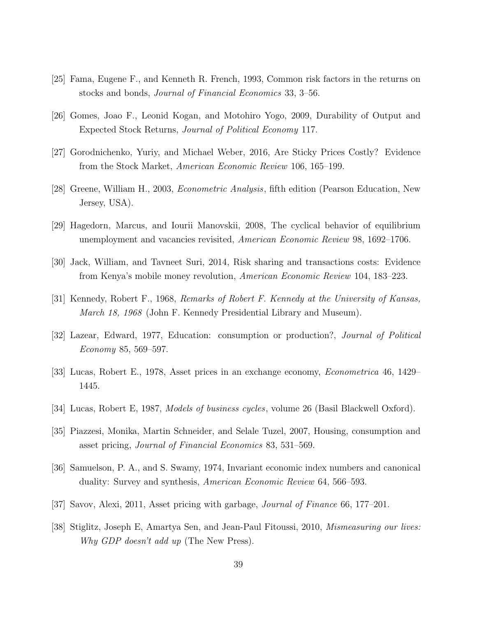- <span id="page-40-5"></span>[25] Fama, Eugene F., and Kenneth R. French, 1993, Common risk factors in the returns on stocks and bonds, Journal of Financial Economics 33, 3–56.
- <span id="page-40-9"></span>[26] Gomes, Joao F., Leonid Kogan, and Motohiro Yogo, 2009, Durability of Output and Expected Stock Returns, Journal of Political Economy 117.
- <span id="page-40-10"></span>[27] Gorodnichenko, Yuriy, and Michael Weber, 2016, Are Sticky Prices Costly? Evidence from the Stock Market, American Economic Review 106, 165–199.
- <span id="page-40-12"></span>[28] Greene, William H., 2003, Econometric Analysis, fifth edition (Pearson Education, New Jersey, USA).
- <span id="page-40-3"></span>[29] Hagedorn, Marcus, and Iourii Manovskii, 2008, The cyclical behavior of equilibrium unemployment and vacancies revisited, American Economic Review 98, 1692–1706.
- <span id="page-40-4"></span>[30] Jack, William, and Tavneet Suri, 2014, Risk sharing and transactions costs: Evidence from Kenya's mobile money revolution, American Economic Review 104, 183–223.
- <span id="page-40-0"></span>[31] Kennedy, Robert F., 1968, Remarks of Robert F. Kennedy at the University of Kansas, March 18, 1968 (John F. Kennedy Presidential Library and Museum).
- <span id="page-40-2"></span>[32] Lazear, Edward, 1977, Education: consumption or production?, Journal of Political Economy 85, 569–597.
- <span id="page-40-11"></span>[33] Lucas, Robert E., 1978, Asset prices in an exchange economy, Econometrica 46, 1429– 1445.
- <span id="page-40-13"></span>[34] Lucas, Robert E, 1987, Models of business cycles, volume 26 (Basil Blackwell Oxford).
- <span id="page-40-8"></span>[35] Piazzesi, Monika, Martin Schneider, and Selale Tuzel, 2007, Housing, consumption and asset pricing, Journal of Financial Economics 83, 531–569.
- <span id="page-40-7"></span>[36] Samuelson, P. A., and S. Swamy, 1974, Invariant economic index numbers and canonical duality: Survey and synthesis, American Economic Review 64, 566–593.
- <span id="page-40-6"></span>[37] Savov, Alexi, 2011, Asset pricing with garbage, Journal of Finance 66, 177–201.
- <span id="page-40-1"></span>[38] Stiglitz, Joseph E, Amartya Sen, and Jean-Paul Fitoussi, 2010, Mismeasuring our lives: Why GDP doesn't add up (The New Press).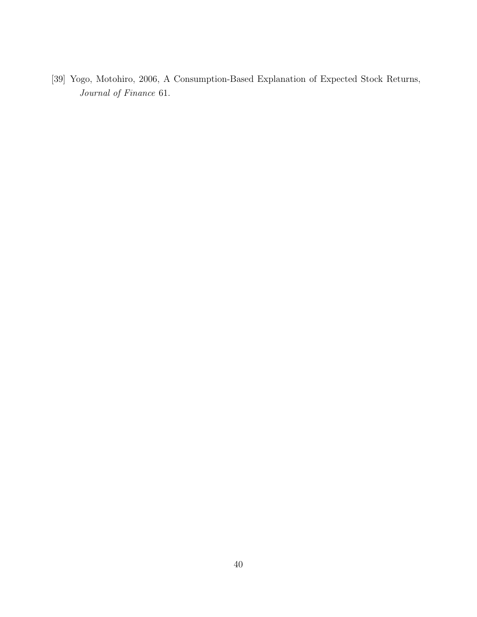<span id="page-41-0"></span>[39] Yogo, Motohiro, 2006, A Consumption-Based Explanation of Expected Stock Returns, Journal of Finance 61.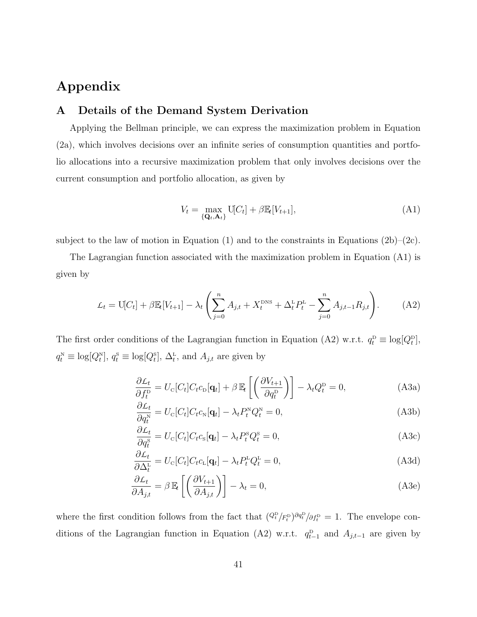# Appendix

# <span id="page-42-0"></span>A Details of the Demand System Derivation

Applying the Bellman principle, we can express the maximization problem in Equation [\(2a\)](#page-8-4), which involves decisions over an infinite series of consumption quantities and portfolio allocations into a recursive maximization problem that only involves decisions over the current consumption and portfolio allocation, as given by

<span id="page-42-2"></span><span id="page-42-1"></span>
$$
V_t = \max_{\{\mathbf{Q}_t, \mathbf{A}_t\}} \mathbf{U}[C_t] + \beta \mathbb{E}_t[V_{t+1}], \tag{A1}
$$

subject to the law of motion in Equation [\(1\)](#page-7-1) and to the constraints in Equations  $(2b)-(2c)$  $(2b)-(2c)$ .

The Lagrangian function associated with the maximization problem in Equation [\(A1\)](#page-42-1) is given by

$$
\mathcal{L}_t = \mathbf{U}[C_t] + \beta \mathbb{E}_t[V_{t+1}] - \lambda_t \left( \sum_{j=0}^n A_{j,t} + X_t^{\text{DNS}} + \Delta_t^{\text{L}} P_t^{\text{L}} - \sum_{j=0}^n A_{j,t-1} R_{j,t} \right). \tag{A2}
$$

The first order conditions of the Lagrangian function in Equation [\(A2\)](#page-42-2) w.r.t.  $q_t^D \equiv \log[Q_t^D]$ ,  $q_t^{\text{N}} \equiv \log[Q_t^{\text{N}}], q_t^{\text{s}} \equiv \log[Q_t^{\text{s}}], \Delta_t^{\text{L}}$ , and  $A_{j,t}$  are given by

<span id="page-42-3"></span>
$$
\frac{\partial \mathcal{L}_t}{\partial f_t^{\mathcal{D}}} = U_{\mathcal{C}}[C_t]C_t c_{\mathcal{D}}[\mathbf{q}_t] + \beta \mathbb{E}_t \left[ \left( \frac{\partial V_{t+1}}{\partial q_t^{\mathcal{D}}} \right) \right] - \lambda_t Q_t^{\mathcal{D}} = 0, \tag{A3a}
$$

$$
\frac{\partial L_t}{\partial q_t^N} = U_c[C_t]C_t c_N[\mathbf{q}_t] - \lambda_t P_t^N Q_t^N = 0,
$$
\n(A3b)

$$
\frac{\partial L_t}{\partial q_t^s} = U_c[C_t]C_t c_s[\mathbf{q}_t] - \lambda_t P_t^s Q_t^s = 0,
$$
\n(A3c)

$$
\frac{\partial L_t}{\partial \Delta_t^L} = U_c[C_t]C_t c_L[\mathbf{q}_t] - \lambda_t P_t^L Q_t^L = 0,
$$
\n(A3d)

$$
\frac{\partial L_t}{\partial A_{j,t}} = \beta \mathbb{E}_t \left[ \left( \frac{\partial V_{t+1}}{\partial A_{j,t}} \right) \right] - \lambda_t = 0, \tag{A3e}
$$

where the first condition follows from the fact that  $(Q_t^{\text{D}}/F_t^{\text{D}})^{\partial q_t^{\text{D}}}/\partial f_t^{\text{D}} = 1$ . The envelope con-ditions of the Lagrangian function in Equation [\(A2\)](#page-42-2) w.r.t.  $q_{t-1}^{\text{D}}$  and  $A_{j,t-1}$  are given by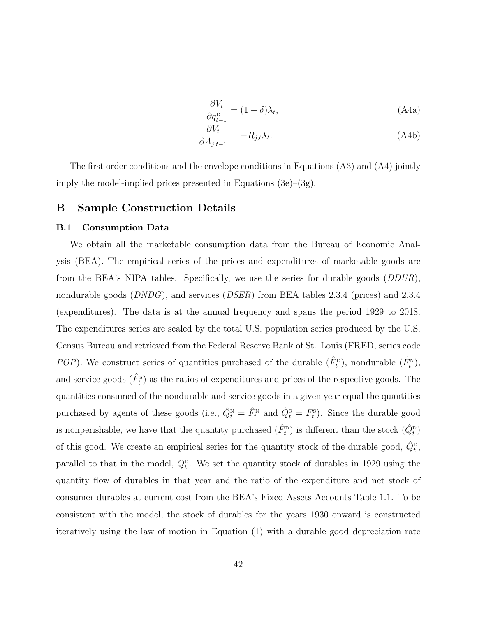$$
\frac{\partial V_t}{\partial q_{t-1}^{\mathcal{D}}} = (1 - \delta)\lambda_t,\tag{A4a}
$$

$$
\frac{\partial V_t}{\partial A_{j,t-1}} = -R_{j,t}\lambda_t.
$$
\n(A4b)

<span id="page-43-1"></span>The first order conditions and the envelope conditions in Equations [\(A3\)](#page-42-3) and [\(A4\)](#page-43-1) jointly imply the model-implied prices presented in Equations [\(3e\)](#page-10-2)–[\(3g\)](#page-10-3).

### <span id="page-43-0"></span>B Sample Construction Details

#### B.1 Consumption Data

We obtain all the marketable consumption data from the Bureau of Economic Analysis (BEA). The empirical series of the prices and expenditures of marketable goods are from the BEA's NIPA tables. Specifically, we use the series for durable goods (DDUR), nondurable goods (*DNDG*), and services (*DSER*) from BEA tables 2.3.4 (prices) and 2.3.4 (expenditures). The data is at the annual frequency and spans the period 1929 to 2018. The expenditures series are scaled by the total U.S. population series produced by the U.S. Census Bureau and retrieved from the Federal Reserve Bank of St. Louis (FRED, series code POP). We construct series of quantities purchased of the durable  $(\hat{F}_t^{\text{D}})$ , nondurable  $(\hat{F}_t^{\text{N}})$ , and service goods  $(\hat{F}_t^s)$  as the ratios of expenditures and prices of the respective goods. The quantities consumed of the nondurable and service goods in a given year equal the quantities purchased by agents of these goods (i.e.,  $\hat{Q}_t^N = \hat{F}_t^N$  and  $\hat{Q}_t^S = \hat{F}_t^S$ ). Since the durable good is nonperishable, we have that the quantity purchased  $(\hat{F}_t^{\text{p}})$  is different than the stock  $(\hat{Q}_t^{\text{p}})$ of this good. We create an empirical series for the quantity stock of the durable good,  $\hat{Q}_t^{\text{D}}$ , parallel to that in the model,  $Q_t^{\text{p}}$ . We set the quantity stock of durables in 1929 using the quantity flow of durables in that year and the ratio of the expenditure and net stock of consumer durables at current cost from the BEA's Fixed Assets Accounts Table 1.1. To be consistent with the model, the stock of durables for the years 1930 onward is constructed iteratively using the law of motion in Equation [\(1\)](#page-7-1) with a durable good depreciation rate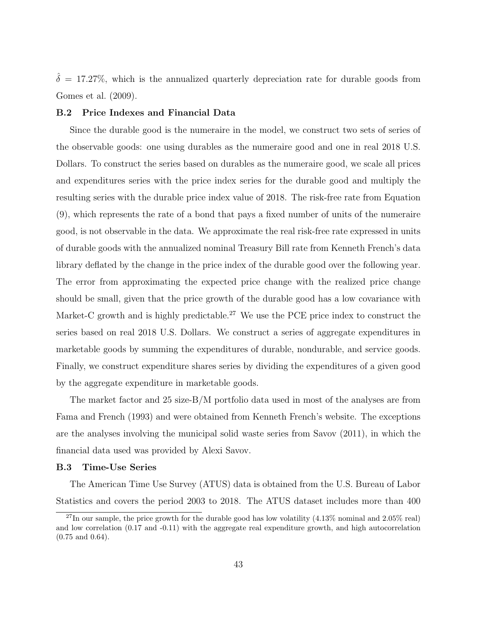$\hat{\delta} = 17.27\%$ , which is the annualized quarterly depreciation rate for durable goods from [Gomes et al.](#page-40-9) [\(2009\)](#page-40-9).

#### <span id="page-44-0"></span>B.2 Price Indexes and Financial Data

Since the durable good is the numeraire in the model, we construct two sets of series of the observable goods: one using durables as the numeraire good and one in real 2018 U.S. Dollars. To construct the series based on durables as the numeraire good, we scale all prices and expenditures series with the price index series for the durable good and multiply the resulting series with the durable price index value of 2018. The risk-free rate from Equation [\(9\)](#page-13-4), which represents the rate of a bond that pays a fixed number of units of the numeraire good, is not observable in the data. We approximate the real risk-free rate expressed in units of durable goods with the annualized nominal Treasury Bill rate from Kenneth French's data library deflated by the change in the price index of the durable good over the following year. The error from approximating the expected price change with the realized price change should be small, given that the price growth of the durable good has a low covariance with Market-C growth and is highly predictable.<sup>[27](#page-44-2)</sup> We use the PCE price index to construct the series based on real 2018 U.S. Dollars. We construct a series of aggregate expenditures in marketable goods by summing the expenditures of durable, nondurable, and service goods. Finally, we construct expenditure shares series by dividing the expenditures of a given good by the aggregate expenditure in marketable goods.

The market factor and 25 size-B/M portfolio data used in most of the analyses are from [Fama and French](#page-40-5) [\(1993\)](#page-40-5) and were obtained from Kenneth French's website. The exceptions are the analyses involving the municipal solid waste series from [Savov](#page-40-6) [\(2011\)](#page-40-6), in which the financial data used was provided by Alexi Savov.

#### <span id="page-44-1"></span>B.3 Time-Use Series

The American Time Use Survey (ATUS) data is obtained from the U.S. Bureau of Labor Statistics and covers the period 2003 to 2018. The ATUS dataset includes more than 400

<span id="page-44-2"></span> $^{27}$ In our sample, the price growth for the durable good has low volatility (4.13% nominal and 2.05% real) and low correlation (0.17 and -0.11) with the aggregate real expenditure growth, and high autocorrelation (0.75 and 0.64).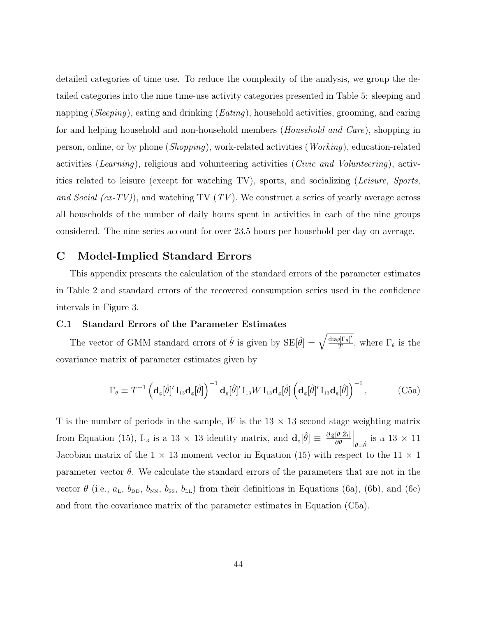detailed categories of time use. To reduce the complexity of the analysis, we group the detailed categories into the nine time-use activity categories presented in Table [5:](#page-57-0) sleeping and napping (*Sleeping*), eating and drinking (*Eating*), household activities, grooming, and caring for and helping household and non-household members (Household and Care), shopping in person, online, or by phone (Shopping), work-related activities (Working), education-related activities (Learning), religious and volunteering activities (Civic and Volunteering), activities related to leisure (except for watching TV), sports, and socializing (Leisure, Sports, and Social  $(ex-TV)$ , and watching TV  $(TV)$ . We construct a series of yearly average across all households of the number of daily hours spent in activities in each of the nine groups considered. The nine series account for over 23.5 hours per household per day on average.

# C Model-Implied Standard Errors

This appendix presents the calculation of the standard errors of the parameter estimates in Table [2](#page-54-0) and standard errors of the recovered consumption series used in the confidence intervals in Figure [3.](#page-49-0)

### <span id="page-45-0"></span>C.1 Standard Errors of the Parameter Estimates

The vector of GMM standard errors of  $\hat{\theta}$  is given by  $SE[\hat{\theta}] = \sqrt{\frac{diag[F_{\theta}]}{T}}$  $T^{1\theta}$ , where  $\Gamma_{\theta}$  is the covariance matrix of parameter estimates given by

<span id="page-45-1"></span>
$$
\Gamma_{\theta} \equiv T^{-1} \left( \mathbf{d}_{g}[\hat{\theta}]' I_{13} \mathbf{d}_{g}[\hat{\theta}] \right)^{-1} \mathbf{d}_{g}[\hat{\theta}]' I_{13} W I_{13} \mathbf{d}_{g}[\hat{\theta}] \left( \mathbf{d}_{g}[\hat{\theta}]' I_{13} \mathbf{d}_{g}[\hat{\theta}] \right)^{-1}, \tag{C5a}
$$

T is the number of periods in the sample, W is the  $13 \times 13$  second stage weighting matrix from Equation [\(15\)](#page-22-1),  $I_{13}$  is a 13 × 13 identity matrix, and  $\mathbf{d}_{g}[\hat{\theta}] \equiv \frac{\partial g[\theta]\hat{z}_{t}]}{\partial \theta}$  $\partial \theta$  $\Big|_{\theta = \hat{\theta}}$  is a 13 × 11 Jacobian matrix of the  $1 \times 13$  moment vector in Equation [\(15\)](#page-22-1) with respect to the  $11 \times 1$ parameter vector  $\theta$ . We calculate the standard errors of the parameters that are not in the vector  $\theta$  (i.e.,  $a_{\text{L}}$ ,  $b_{\text{DD}}$ ,  $b_{\text{NN}}$ ,  $b_{\text{ss}}$ ,  $b_{\text{LL}}$ ) from their definitions in Equations [\(6a\)](#page-12-1), [\(6b\)](#page-12-2), and [\(6c\)](#page-13-6) and from the covariance matrix of the parameter estimates in Equation [\(C5a\)](#page-45-1).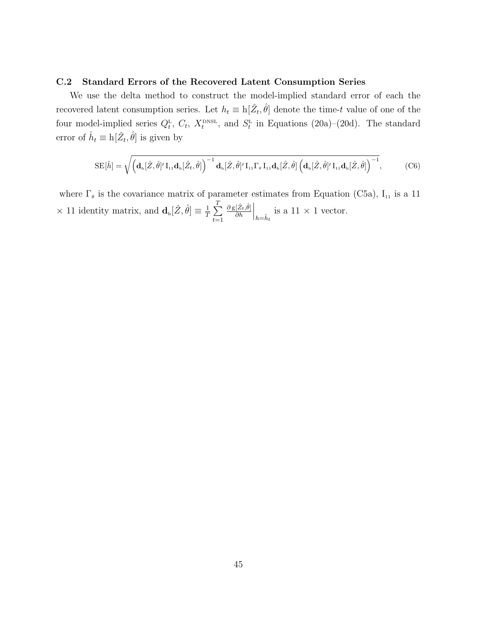### <span id="page-46-0"></span>C.2 Standard Errors of the Recovered Latent Consumption Series

We use the delta method to construct the model-implied standard error of each the recovered latent consumption series. Let  $h_t \equiv h[\hat{Z}_t, \hat{\theta}]$  denote the time-t value of one of the four model-implied series  $Q_t^L$ ,  $C_t$ ,  $X_t^{\text{DNSL}}$ , and  $S_t^L$  in Equations [\(20a\)](#page-26-0)–[\(20d\)](#page-26-1). The standard error of  $\hat{h}_t \equiv h[\hat{Z}_t, \hat{\theta}]$  is given by

$$
\mathrm{SE}[\hat{h}] = \sqrt{\left(\mathbf{d}_{\mathrm{h}}[\hat{Z},\hat{\theta}^{\prime}|\mathbf{I}_{11}\mathbf{d}_{\mathrm{h}}[\hat{Z}_{t},\hat{\theta}]\right)^{-1}\mathbf{d}_{\mathrm{h}}[\hat{Z},\hat{\theta}^{\prime}|\mathbf{I}_{11}\Gamma_{\theta}\mathbf{I}_{11}\mathbf{d}_{\mathrm{h}}[\hat{Z},\hat{\theta}]\left(\mathbf{d}_{\mathrm{h}}[\hat{Z},\hat{\theta}^{\prime}|\mathbf{I}_{11}\mathbf{d}_{\mathrm{h}}[\hat{Z},\hat{\theta}]\right)^{-1}},
$$
 (C6)

where  $\Gamma_{\theta}$  is the covariance matrix of parameter estimates from Equation [\(C5a\)](#page-45-1),  $I_{11}$  is a 11  $\times$  11 identity matrix, and  $\mathbf{d}_{h}[\hat{Z}, \hat{\theta}] \equiv \frac{1}{T}$  $\frac{1}{T}\sum_{i=1}^{T}$  $t=1$  $\partial$  g $[\hat{Z}_{t},\hat{\theta}]$  $\partial h$  $\Big|_{h=\hat{h}_t}$  is a 11 × 1 vector.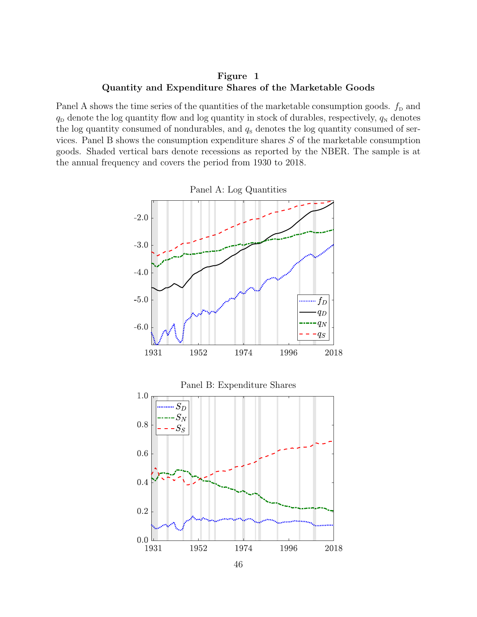Figure 1 Quantity and Expenditure Shares of the Marketable Goods

Panel A shows the time series of the quantities of the marketable consumption goods.  $f_{\rm D}$  and  $q_{\rm D}$  denote the log quantity flow and log quantity in stock of durables, respectively,  $q_{\rm N}$  denotes the log quantity consumed of nondurables, and  $q_s$  denotes the log quantity consumed of services. Panel B shows the consumption expenditure shares  $S$  of the marketable consumption goods. Shaded vertical bars denote recessions as reported by the NBER. The sample is at the annual frequency and covers the period from 1930 to 2018.



<span id="page-47-0"></span>Panel A: Log Quantities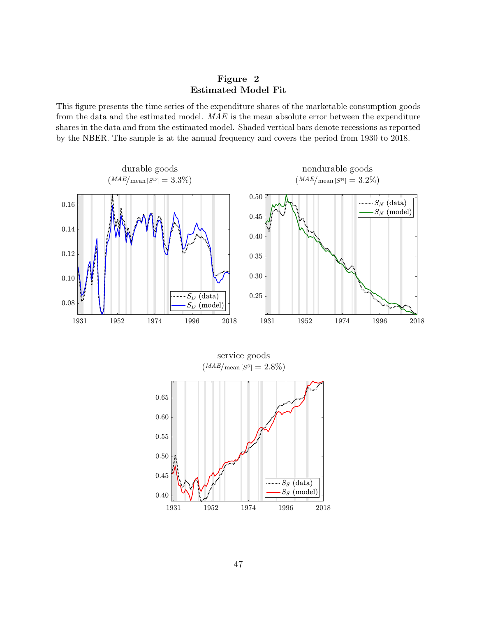<span id="page-48-0"></span>Figure 2 Estimated Model Fit

This figure presents the time series of the expenditure shares of the marketable consumption goods from the data and the estimated model. MAE is the mean absolute error between the expenditure shares in the data and from the estimated model. Shaded vertical bars denote recessions as reported by the NBER. The sample is at the annual frequency and covers the period from 1930 to 2018.

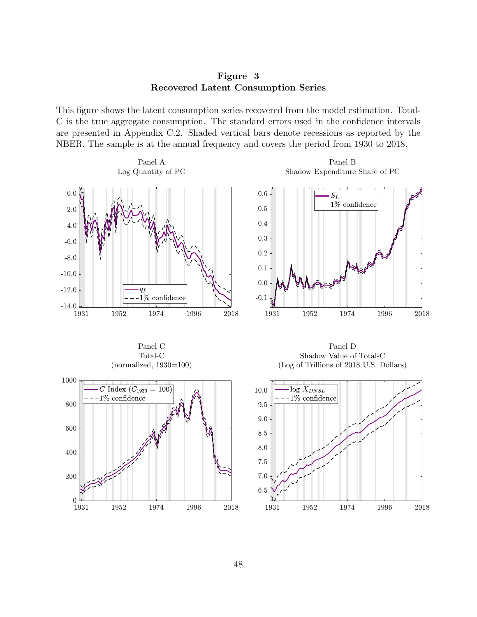Figure 3 Recovered Latent Consumption Series

This figure shows the latent consumption series recovered from the model estimation. Total-C is the true aggregate consumption. The standard errors used in the confidence intervals are presented in Appendix [C.2.](#page-46-0) Shaded vertical bars denote recessions as reported by the NBER. The sample is at the annual frequency and covers the period from 1930 to 2018.



<span id="page-49-0"></span>Panel B Shadow Expenditure Share of PC



Panel C Total-C



Panel D Shadow Value of Total-C (Log of Trillions of 2018 U.S. Dollars)

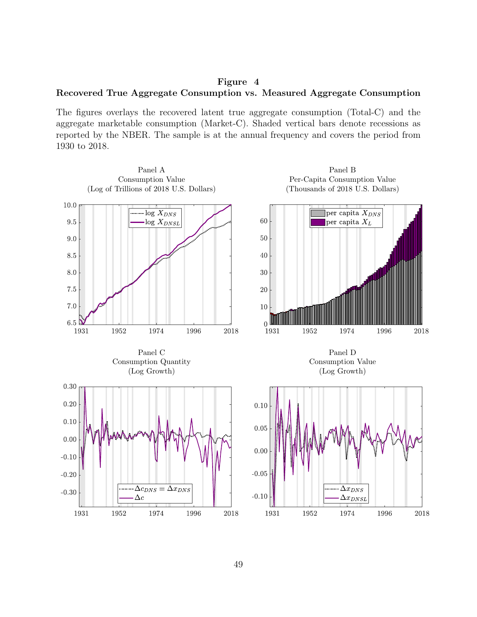<span id="page-50-0"></span>Figure 4 Recovered True Aggregate Consumption vs. Measured Aggregate Consumption

The figures overlays the recovered latent true aggregate consumption (Total-C) and the aggregate marketable consumption (Market-C). Shaded vertical bars denote recessions as reported by the NBER. The sample is at the annual frequency and covers the period from 1930 to 2018.

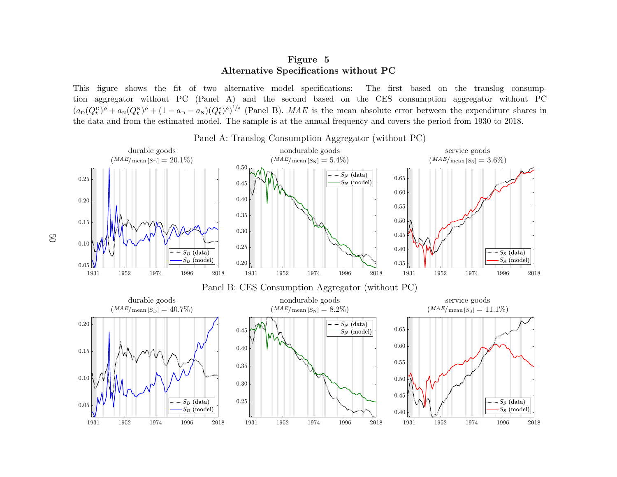# <span id="page-51-0"></span>Figure 5Alternative Specifications without PC

This figure shows the fit of two alternative model specifications: The first based on the translog consumption aggregator without PC (Panel A) and the second based on the CES consumption aggregator without PC $(a_{\text{D}}(Q_t^{\text{D}})^\rho + a_{\text{N}}(Q_t^{\text{N}})^\rho + (1 - a_{\text{D}} - a_{\text{N}})(Q_t^{\text{S}})^\rho)^{1/\rho}$  (Panel B). MAE is the mean absolute error between the expenditure shares in the data and from the estimated model. The sample is at the annual frequency and covers the period from <sup>1930</sup> to 2018.



Panel A: Translog Consumption Aggregator (without PC)

50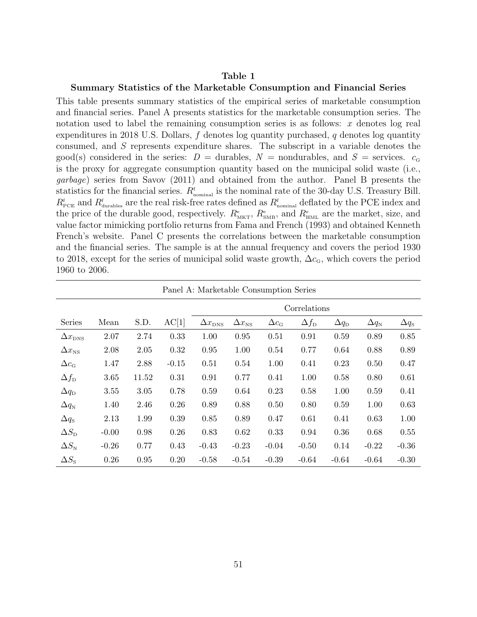### <span id="page-52-0"></span>Table 1

#### Summary Statistics of the Marketable Consumption and Financial Series

This table presents summary statistics of the empirical series of marketable consumption and financial series. Panel A presents statistics for the marketable consumption series. The notation used to label the remaining consumption series is as follows:  $x$  denotes log real expenditures in 2018 U.S. Dollars,  $f$  denotes log quantity purchased,  $q$  denotes log quantity consumed, and  $S$  represents expenditure shares. The subscript in a variable denotes the good(s) considered in the series:  $D =$  durables,  $N =$  nondurables, and  $S =$  services.  $c_{\rm G}$ is the proxy for aggregate consumption quantity based on the municipal solid waste (i.e., garbage) series from [Savov](#page-40-6) [\(2011\)](#page-40-6) and obtained from the author. Panel B presents the statistics for the financial series.  $R_{nominal}^{\text{f}}$  is the nominal rate of the 30-day U.S. Treasury Bill.  $R_{\text{pCE}}^{\text{f}}$  and  $R_{\text{durables}}^{\text{f}}$  are the real risk-free rates defined as  $R_{\text{nominal}}^{\text{f}}$  deflated by the PCE index and the price of the durable good, respectively.  $R_{\text{MKT}}^e$ ,  $R_{\text{SMB}}^e$ , and  $R_{\text{HML}}^e$  are the market, size, and value factor mimicking portfolio returns from [Fama and French](#page-40-5) [\(1993\)](#page-40-5) and obtained Kenneth French's website. Panel C presents the correlations between the marketable consumption and the financial series. The sample is at the annual frequency and covers the period 1930 to 2018, except for the series of municipal solid waste growth,  $\Delta c_{\rm G}$ , which covers the period 1960 to 2006.

|                                      | Panel A: Marketable Consumption Series |       |         |                         |                     |                                      |                    |                       |                             |                    |  |  |
|--------------------------------------|----------------------------------------|-------|---------|-------------------------|---------------------|--------------------------------------|--------------------|-----------------------|-----------------------------|--------------------|--|--|
|                                      |                                        |       |         |                         |                     |                                      | Correlations       |                       |                             |                    |  |  |
| Series                               | Mean                                   | S.D.  | AC[1]   | $\Delta x_{\text{DNS}}$ | $\Delta x_{\rm NS}$ | $\Delta c_{\scriptscriptstyle\rm G}$ | $\Delta f_{\rm D}$ | $\Delta q_{\text{D}}$ | $\Delta q_{\text{\tiny N}}$ | $\Delta q_{\rm s}$ |  |  |
| $\Delta x_{\text{DNS}}$              | 2.07                                   | 2.74  | 0.33    | 1.00                    | 0.95                | 0.51                                 | 0.91               | 0.59                  | 0.89                        | 0.85               |  |  |
| $\Delta x_{\rm NS}$                  | 2.08                                   | 2.05  | 0.32    | 0.95                    | 1.00                | 0.54                                 | 0.77               | 0.64                  | 0.88                        | 0.89               |  |  |
| $\Delta c_{\scriptscriptstyle\rm G}$ | 1.47                                   | 2.88  | $-0.15$ | 0.51                    | 0.54                | 1.00                                 | 0.41               | 0.23                  | 0.50                        | 0.47               |  |  |
| $\Delta f_{\rm D}$                   | 3.65                                   | 11.52 | 0.31    | 0.91                    | 0.77                | 0.41                                 | 1.00               | 0.58                  | 0.80                        | 0.61               |  |  |
| $\Delta q_{\textrm{D}}$              | 3.55                                   | 3.05  | 0.78    | 0.59                    | 0.64                | 0.23                                 | 0.58               | 1.00                  | 0.59                        | 0.41               |  |  |
| $\Delta q_{\text{N}}$                | 1.40                                   | 2.46  | 0.26    | 0.89                    | 0.88                | 0.50                                 | 0.80               | 0.59                  | 1.00                        | 0.63               |  |  |
| $\Delta q_{\rm S}$                   | 2.13                                   | 1.99  | 0.39    | 0.85                    | 0.89                | 0.47                                 | 0.61               | 0.41                  | 0.63                        | 1.00               |  |  |
| $\Delta S_{\rm D}$                   | $-0.00$                                | 0.98  | 0.26    | 0.83                    | 0.62                | 0.33                                 | 0.94               | 0.36                  | 0.68                        | 0.55               |  |  |
| $\Delta S_{\text{N}}$                | $-0.26$                                | 0.77  | 0.43    | $-0.43$                 | $-0.23$             | $-0.04$                              | $-0.50$            | 0.14                  | $-0.22$                     | $-0.36$            |  |  |
| $\Delta S_{\rm S}$                   | 0.26                                   | 0.95  | 0.20    | $-0.58$                 | $-0.54$             | $-0.39$                              | $-0.64$            | $-0.64$               | $-0.64$                     | $-0.30$            |  |  |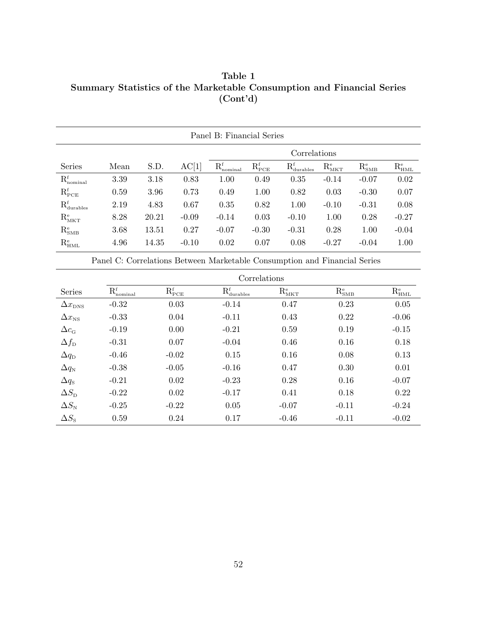Table 1 Summary Statistics of the Marketable Consumption and Financial Series (Cont'd)

|                                  | Panel B: Financial Series |       |         |                   |                   |                                  |                           |                   |             |  |
|----------------------------------|---------------------------|-------|---------|-------------------|-------------------|----------------------------------|---------------------------|-------------------|-------------|--|
|                                  |                           |       |         | Correlations      |                   |                                  |                           |                   |             |  |
| <b>Series</b>                    | Mean                      | S.D.  | AC[1]   | $R_{nominal}^{f}$ | ${\rm R_{PCE}^f}$ | $R_{\text{durables}}^{\text{f}}$ | $\rm R_{\rm MKT}^{\rm e}$ | ${\rm R_{SMB}^e}$ | $R_{HML}^e$ |  |
| $R_{nominal}^{f}$                | 3.39                      | 3.18  | 0.83    | 1.00              | 0.49              | 0.35                             | $-0.14$                   | $-0.07$           | 0.02        |  |
| $\mathrm{R_{PCE}^{f}}$           | 0.59                      | 3.96  | 0.73    | 0.49              | 1.00              | 0.82                             | 0.03                      | $-0.30$           | 0.07        |  |
| $R_{\text{durables}}^{\text{f}}$ | 2.19                      | 4.83  | 0.67    | 0.35              | 0.82              | 1.00                             | $-0.10$                   | $-0.31$           | 0.08        |  |
| $\mathrm{R_{\rm MKT}^{\rm e}}$   | 8.28                      | 20.21 | $-0.09$ | $-0.14$           | 0.03              | $-0.10$                          | 1.00                      | 0.28              | $-0.27$     |  |
| ${\rm R_{SMB}^e}$                | 3.68                      | 13.51 | 0.27    | $-0.07$           | $-0.30$           | $-0.31$                          | 0.28                      | 1.00              | $-0.04$     |  |
| $\mathrm{R_{HML}^e}$             | 4.96                      | 14.35 | $-0.10$ | 0.02              | 0.07              | 0.08                             | $-0.27$                   | $-0.04$           | 1.00        |  |

Panel C: Correlations Between Marketable Consumption and Financial Series

|                         |                 | Correlations           |                                  |             |                   |                      |  |  |  |  |  |
|-------------------------|-----------------|------------------------|----------------------------------|-------------|-------------------|----------------------|--|--|--|--|--|
| Series                  | $R_{nominal}^f$ | $\mathrm{R_{PCE}^{f}}$ | $R_{\text{durables}}^{\text{f}}$ | $R_{MKT}^e$ | ${\rm R_{SMB}^e}$ | $\mathrm{R_{HML}^e}$ |  |  |  |  |  |
| $\Delta x_{\text{DNS}}$ | $-0.32$         | 0.03                   | $-0.14$                          | 0.47        | 0.23              | 0.05                 |  |  |  |  |  |
| $\Delta x_{\rm NS}$     | $-0.33$         | 0.04                   | $-0.11$                          | 0.43        | 0.22              | $-0.06$              |  |  |  |  |  |
| $\Delta c_{\text{G}}$   | $-0.19$         | 0.00                   | $-0.21$                          | 0.59        | 0.19              | $-0.15$              |  |  |  |  |  |
| $\Delta f_{\rm D}$      | $-0.31$         | 0.07                   | $-0.04$                          | 0.46        | 0.16              | 0.18                 |  |  |  |  |  |
| $\Delta q_{\rm D}$      | $-0.46$         | $-0.02$                | 0.15                             | 0.16        | 0.08              | 0.13                 |  |  |  |  |  |
| $\Delta q_{\text{N}}$   | $-0.38$         | $-0.05$                | $-0.16$                          | 0.47        | 0.30              | 0.01                 |  |  |  |  |  |
| $\Delta q_{\rm S}$      | $-0.21$         | 0.02                   | $-0.23$                          | 0.28        | 0.16              | $-0.07$              |  |  |  |  |  |
| $\Delta S_{\rm D}$      | $-0.22$         | 0.02                   | $-0.17$                          | 0.41        | 0.18              | 0.22                 |  |  |  |  |  |
| $\Delta S_{\text{N}}$   | $-0.25$         | $-0.22$                | 0.05                             | $-0.07$     | $-0.11$           | $-0.24$              |  |  |  |  |  |
| $\Delta S_{\rm s}$      | 0.59            | 0.24                   | 0.17                             | $-0.46$     | $-0.11$           | $-0.02$              |  |  |  |  |  |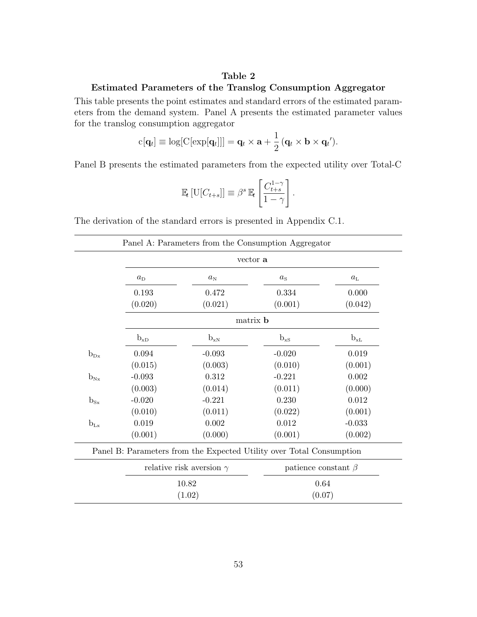### <span id="page-54-0"></span>Table 2

# Estimated Parameters of the Translog Consumption Aggregator

This table presents the point estimates and standard errors of the estimated parameters from the demand system. Panel A presents the estimated parameter values for the translog consumption aggregator

$$
c[\mathbf{q}_t] \equiv \log[C[\exp[\mathbf{q}_t]]] = \mathbf{q}_t \times \mathbf{a} + \frac{1}{2} (\mathbf{q}_t \times \mathbf{b} \times \mathbf{q}_t').
$$

Panel B presents the estimated parameters from the expected utility over Total-C

$$
\mathbb{E}_{t}\left[\mathrm{U}[C_{t+s}]\right] \equiv \beta^{s} \mathbb{E}_{t}\left[\frac{C_{t+s}^{1-\gamma}}{1-\gamma}\right].
$$

The derivation of the standard errors is presented in Appendix [C.1.](#page-45-0)

|          |             |                                                                      | vector a        |                           |  |
|----------|-------------|----------------------------------------------------------------------|-----------------|---------------------------|--|
|          | $a_{\rm D}$ | $a_{\rm N}$                                                          | $a_{\rm s}$     | $a_{\rm L}$               |  |
|          | 0.193       | 0.472                                                                | 0.334           | 0.000                     |  |
|          | (0.020)     | (0.021)                                                              | (0.001)         | (0.042)                   |  |
|          |             |                                                                      | matrix <b>b</b> |                           |  |
|          | $b_{xD}$    | $b_{xN}$                                                             | $b_{\rm xs}$    | $b_{xL}$                  |  |
| $b_{Dx}$ | 0.094       | $-0.093$                                                             | $-0.020$        | 0.019                     |  |
|          | (0.015)     | (0.003)                                                              | (0.010)         | (0.001)                   |  |
| $b_{Nx}$ | $-0.093$    | 0.312                                                                | $-0.221$        | 0.002                     |  |
|          | (0.003)     | (0.014)                                                              | (0.011)         | (0.000)                   |  |
| $b_{Sx}$ | $-0.020$    | $-0.221$                                                             | 0.230           | 0.012                     |  |
|          | (0.010)     | (0.011)                                                              | (0.022)         | (0.001)                   |  |
| $b_{Lx}$ | 0.019       | $0.002\,$                                                            | $0.012\,$       | $-0.033$                  |  |
|          | (0.001)     | (0.000)                                                              | (0.001)         | (0.002)                   |  |
|          |             | Panel B: Parameters from the Expected Utility over Total Consumption |                 |                           |  |
|          |             | relative risk aversion $\gamma$                                      |                 | patience constant $\beta$ |  |
|          |             | 10.82                                                                |                 | 0.64                      |  |
|          |             | (1.02)                                                               | (0.07)          |                           |  |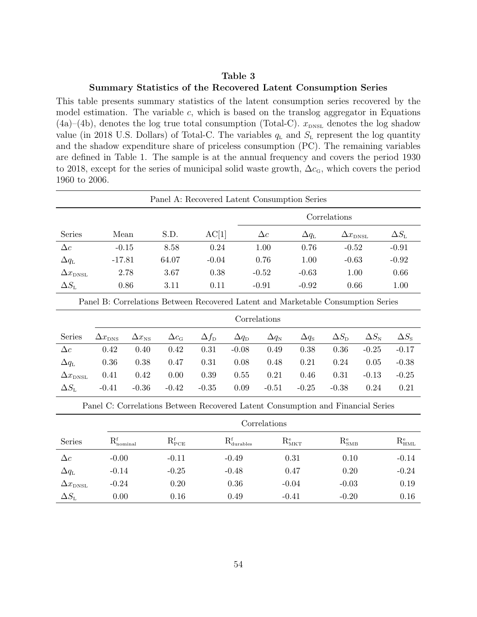## <span id="page-55-0"></span>Table 3 Summary Statistics of the Recovered Latent Consumption Series

This table presents summary statistics of the latent consumption series recovered by the model estimation. The variable  $c$ , which is based on the translog aggregator in Equations  $(4a)$ – $(4b)$ , denotes the log true total consumption (Total-C).  $x_{\text{DNSL}}$  denotes the log shadow value (in 2018 U.S. Dollars) of Total-C. The variables  $q_L$  and  $S_L$  represent the log quantity and the shadow expenditure share of priceless consumption (PC). The remaining variables are defined in Table [1.](#page-52-0) The sample is at the annual frequency and covers the period 1930 to 2018, except for the series of municipal solid waste growth,  $\Delta c_{\rm G}$ , which covers the period 1960 to 2006.

|                             | Panel A: Recovered Latent Consumption Series |       |         |              |                       |                          |                             |  |  |  |
|-----------------------------|----------------------------------------------|-------|---------|--------------|-----------------------|--------------------------|-----------------------------|--|--|--|
|                             |                                              |       |         | Correlations |                       |                          |                             |  |  |  |
| Series                      | Mean                                         | S.D.  | AC[1]   | $\Delta c$   | $\Delta q_{\text{L}}$ | $\Delta x_{\text{DNSL}}$ | $\Delta S_{\text{\tiny L}}$ |  |  |  |
| $\Delta c$                  | $-0.15$                                      | 8.58  | 0.24    | 1.00         | 0.76                  | $-0.52$                  | $-0.91$                     |  |  |  |
| $\Delta q_{\text{\tiny L}}$ | $-17.81$                                     | 64.07 | $-0.04$ | 0.76         | 1.00                  | $-0.63$                  | $-0.92$                     |  |  |  |
| $\Delta x_{\rm DNSL}$       | 2.78                                         | 3.67  | 0.38    | $-0.52$      | $-0.63$               | 1.00                     | 0.66                        |  |  |  |
| $\Delta S_{\text{L}}$       | 0.86                                         | 3.11  | 0.11    | $-0.91$      | $-0.92$               | 0.66                     | 1.00                        |  |  |  |

Panel B: Correlations Between Recovered Latent and Marketable Consumption Series

|                       |                      | Correlations        |                                      |                    |                    |                     |                    |                               |                             |                    |  |
|-----------------------|----------------------|---------------------|--------------------------------------|--------------------|--------------------|---------------------|--------------------|-------------------------------|-----------------------------|--------------------|--|
| Series                | $\Delta x_{\rm DNS}$ | $\Delta x_{\rm NS}$ | $\Delta c_{\scriptscriptstyle\rm G}$ | $\Delta f_{\rm D}$ | $\Delta q_{\rm D}$ | $\Delta q_\text{N}$ | $\Delta q_{\rm S}$ | $\Delta S_{\textrm{\tiny D}}$ | $\Delta S_{\text{\tiny N}}$ | $\Delta S_{\rm s}$ |  |
| $\Delta c$            | 0.42                 | 0.40                | 0.42                                 | 0.31               | $-0.08$            | 0.49                | 0.38               | 0.36                          | $-0.25$                     | $-0.17$            |  |
| $\Delta q_{\text{L}}$ | 0.36                 | 0.38                | 0.47                                 | 0.31               | 0.08               | 0.48                | 0.21               | 0.24                          | 0.05                        | $-0.38$            |  |
| $\Delta x_{\rm DNSL}$ | 0.41                 | 0.42                | 0.00                                 | 0.39               | 0.55               | 0.21                | 0.46               | 0.31                          | $-0.13$                     | $-0.25$            |  |
| $\Delta S_{\text{L}}$ | $-0.41$              | $-0.36$             | $-0.42$                              | $-0.35$            | 0.09               | $-0.51$             | $-0.25$            | $-0.38$                       | 0.24                        | 0.21               |  |

Panel C: Correlations Between Recovered Latent Consumption and Financial Series

|                             |                                 | Correlations      |                                           |                           |                        |                   |  |  |  |  |
|-----------------------------|---------------------------------|-------------------|-------------------------------------------|---------------------------|------------------------|-------------------|--|--|--|--|
| Series                      | ${\rm R}_{\rm nominal}^{\rm f}$ | ${\rm R_{PCE}^f}$ | $\mathbf{R}_{\text{durables}}^{\text{f}}$ | $\rm R_{\rm MKT}^{\rm e}$ | ${\rm R_{_{SMB}^{e}}}$ | ${\rm R_{HML}^e}$ |  |  |  |  |
| $\Delta c$                  | $-0.00$                         | $-0.11$           | $-0.49$                                   | 0.31                      | 0.10                   | $-0.14$           |  |  |  |  |
| $\Delta q_{\text{\tiny L}}$ | $-0.14$                         | $-0.25$           | $-0.48$                                   | 0.47                      | 0.20                   | $-0.24$           |  |  |  |  |
| $\Delta x_{\text{DNSL}}$    | $-0.24$                         | 0.20              | 0.36                                      | $-0.04$                   | $-0.03$                | 0.19              |  |  |  |  |
| $\Delta S_{\text{L}}$       | 0.00                            | 0.16              | 0.49                                      | $-0.41$                   | $-0.20$                | 0.16              |  |  |  |  |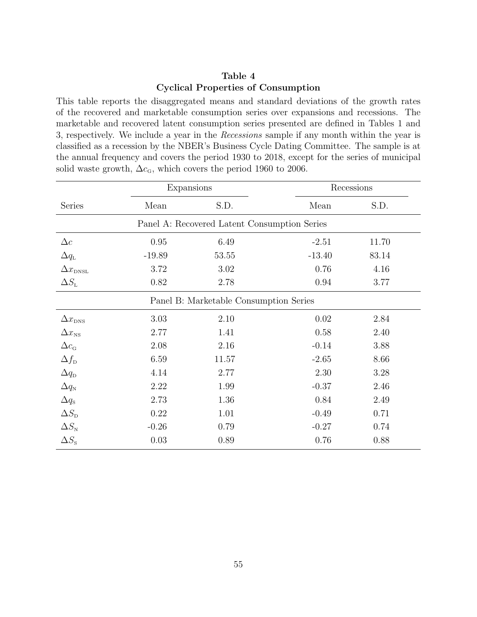# <span id="page-56-0"></span>Table 4 Cyclical Properties of Consumption

This table reports the disaggregated means and standard deviations of the growth rates of the recovered and marketable consumption series over expansions and recessions. The marketable and recovered latent consumption series presented are defined in Tables [1](#page-52-0) and [3,](#page-55-0) respectively. We include a year in the Recessions sample if any month within the year is classified as a recession by the NBER's Business Cycle Dating Committee. The sample is at the annual frequency and covers the period 1930 to 2018, except for the series of municipal solid waste growth,  $\Delta c_{\rm G}$ , which covers the period 1960 to 2006.

|                                        | Expansions |                                              | Recessions |       |  |  |  |  |
|----------------------------------------|------------|----------------------------------------------|------------|-------|--|--|--|--|
| Series                                 | Mean       | S.D.                                         | Mean       | S.D.  |  |  |  |  |
|                                        |            | Panel A: Recovered Latent Consumption Series |            |       |  |  |  |  |
| $\Delta c$                             | 0.95       | 6.49                                         | $-2.51$    | 11.70 |  |  |  |  |
| $\Delta q_{\text{L}}$                  | $-19.89$   | 53.55                                        | $-13.40$   | 83.14 |  |  |  |  |
| $\Delta x_{\text{DNSL}}$               | 3.72       | 3.02                                         | 0.76       | 4.16  |  |  |  |  |
| $\Delta S_{\text{L}}$                  | 0.82       | 2.78                                         | 0.94       | 3.77  |  |  |  |  |
| Panel B: Marketable Consumption Series |            |                                              |            |       |  |  |  |  |
| $\Delta x_{\text{DNS}}$                | 3.03       | 2.10                                         | 0.02       | 2.84  |  |  |  |  |
| $\Delta x_{\rm NS}$                    | 2.77       | 1.41                                         | 0.58       | 2.40  |  |  |  |  |
| $\Delta c_{\text{G}}$                  | 2.08       | 2.16                                         | $-0.14$    | 3.88  |  |  |  |  |
| $\Delta f_{\rm D}$                     | 6.59       | 11.57                                        | $-2.65$    | 8.66  |  |  |  |  |
| $\Delta q_{\rm D}$                     | 4.14       | 2.77                                         | 2.30       | 3.28  |  |  |  |  |
| $\Delta q_N$                           | 2.22       | 1.99                                         | $-0.37$    | 2.46  |  |  |  |  |
| $\Delta q_{\rm s}$                     | 2.73       | 1.36                                         | 0.84       | 2.49  |  |  |  |  |
| $\Delta S_{\text{D}}$                  | 0.22       | 1.01                                         | $-0.49$    | 0.71  |  |  |  |  |
| $\Delta S_{\text{N}}$                  | $-0.26$    | 0.79                                         | $-0.27$    | 0.74  |  |  |  |  |
| $\Delta S_{\rm s}$                     | 0.03       | 0.89                                         | 0.76       | 0.88  |  |  |  |  |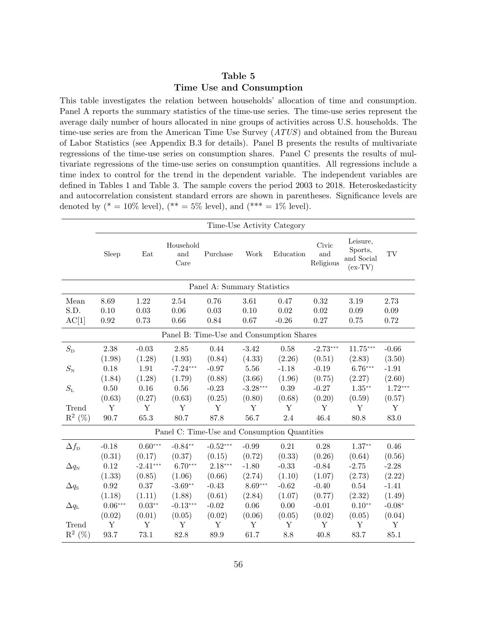# <span id="page-57-0"></span>Table 5 Time Use and Consumption

This table investigates the relation between households' allocation of time and consumption. Panel A reports the summary statistics of the time-use series. The time-use series represent the average daily number of hours allocated in nine groups of activities across U.S. households. The time-use series are from the American Time Use Survey (ATUS) and obtained from the Bureau of Labor Statistics (see Appendix [B.3](#page-44-1) for details). Panel B presents the results of multivariate regressions of the time-use series on consumption shares. Panel C presents the results of multivariate regressions of the time-use series on consumption quantities. All regressions include a time index to control for the trend in the dependent variable. The independent variables are defined in Tables [1](#page-52-0) and Table [3.](#page-55-0) The sample covers the period 2003 to 2018. Heteroskedasticity and autocorrelation consistent standard errors are shown in parentheses. Significance levels are denoted by (\* = 10% level), (\*\* = 5% level), and (\*\*\* = 1% level).

|                                          | Time-Use Activity Category |            |                          |            |            |                                              |                           |                                                |           |  |
|------------------------------------------|----------------------------|------------|--------------------------|------------|------------|----------------------------------------------|---------------------------|------------------------------------------------|-----------|--|
|                                          | Sleep                      | Eat        | Household<br>and<br>Care | Purchase   | Work       | Education                                    | Civic<br>and<br>Religious | Leisure,<br>Sports,<br>and Social<br>$(ex-TV)$ | TV        |  |
| Panel A: Summary Statistics              |                            |            |                          |            |            |                                              |                           |                                                |           |  |
| Mean                                     | 8.69                       | 1.22       | 2.54                     | 0.76       | 3.61       | 0.47                                         | 0.32                      | 3.19                                           | 2.73      |  |
| S.D.                                     | 0.10                       | 0.03       | 0.06                     | 0.03       | 0.10       | 0.02                                         | 0.02                      | 0.09                                           | 0.09      |  |
| AC[1]                                    | $\rm 0.92$                 | 0.73       | 0.66                     | 0.84       | 0.67       | $-0.26$                                      | 0.27                      | 0.75                                           | 0.72      |  |
| Panel B: Time-Use and Consumption Shares |                            |            |                          |            |            |                                              |                           |                                                |           |  |
| $S_{\rm D}$                              | 2.38                       | $-0.03$    | 2.85                     | 0.44       | $-3.42$    | 0.58                                         | $-2.73***$                | $11.75***$                                     | $-0.66$   |  |
|                                          | (1.98)                     | (1.28)     | (1.93)                   | (0.84)     | (4.33)     | (2.26)                                       | (0.51)                    | (2.83)                                         | (3.50)    |  |
| $S_{\rm N}$                              | 0.18                       | 1.91       | $-7.24***$               | $-0.97$    | 5.56       | $-1.18$                                      | $-0.19$                   | $6.76***$                                      | $-1.91$   |  |
|                                          | (1.84)                     | (1.28)     | (1.79)                   | (0.88)     | (3.66)     | (1.96)                                       | (0.75)                    | (2.27)                                         | (2.60)    |  |
| $S_{\mbox{\tiny L}}$                     | 0.50                       | 0.16       | 0.56                     | $-0.23$    | $-3.28***$ | 0.39                                         | $-0.27$                   | $1.35***$                                      | $1.72***$ |  |
|                                          | (0.63)                     | (0.27)     | (0.63)                   | (0.25)     | (0.80)     | (0.68)                                       | (0.20)                    | (0.59)                                         | (0.57)    |  |
| Trend                                    | Y                          | Y          | Y                        | Y          | Y          | Y                                            | Y                         | Y                                              | Y         |  |
| $\mathbf{R}^2$ (%)                       | 90.7                       | 65.3       | 80.7                     | 87.8       | 56.7       | 2.4                                          | 46.4                      | 80.8                                           | 83.0      |  |
|                                          |                            |            |                          |            |            | Panel C: Time-Use and Consumption Quantities |                           |                                                |           |  |
| $\Delta f_{\rm D}$                       | $-0.18$                    | $0.60***$  | $-0.84**$                | $-0.52***$ | $-0.99$    | 0.21                                         | 0.28                      | $1.37**$                                       | 0.46      |  |
|                                          | (0.31)                     | (0.17)     | (0.37)                   | (0.15)     | (0.72)     | (0.33)                                       | (0.26)                    | (0.64)                                         | (0.56)    |  |
| $\Delta q_{\text{\tiny N}}$              | 0.12                       | $-2.41***$ | $6.70***$                | $2.18***$  | $-1.80$    | $-0.33$                                      | $-0.84$                   | $-2.75$                                        | $-2.28$   |  |
|                                          | (1.33)                     | (0.85)     | (1.06)                   | (0.66)     | (2.74)     | (1.10)                                       | (1.07)                    | (2.73)                                         | (2.22)    |  |
| $\Delta q_{\rm S}$                       | 0.92                       | 0.37       | $-3.69**$                | $-0.43$    | $8.69***$  | $-0.62$                                      | $-0.40$                   | 0.54                                           | $-1.41$   |  |
|                                          | (1.18)                     | (1.11)     | (1.88)                   | (0.61)     | (2.84)     | (1.07)                                       | (0.77)                    | (2.32)                                         | (1.49)    |  |
| $\Delta q_{\text{\tiny L}}$              | $0.06***$                  | $0.03**$   | $-0.13***$               | $-0.02$    | 0.06       | 0.00                                         | $-0.01$                   | $0.10**$                                       | $-0.08*$  |  |
|                                          | (0.02)                     | (0.01)     | (0.05)                   | (0.02)     | (0.06)     | (0.05)                                       | (0.02)                    | (0.05)                                         | (0.04)    |  |
| Trend                                    | Y                          | Y          | Y                        | Y          | Y          | Υ                                            | Y                         | Y                                              | Y         |  |
| $\mathbf{R}^2$ (%)                       | 93.7                       | 73.1       | 82.8                     | 89.9       | 61.7       | 8.8                                          | 40.8                      | 83.7                                           | 85.1      |  |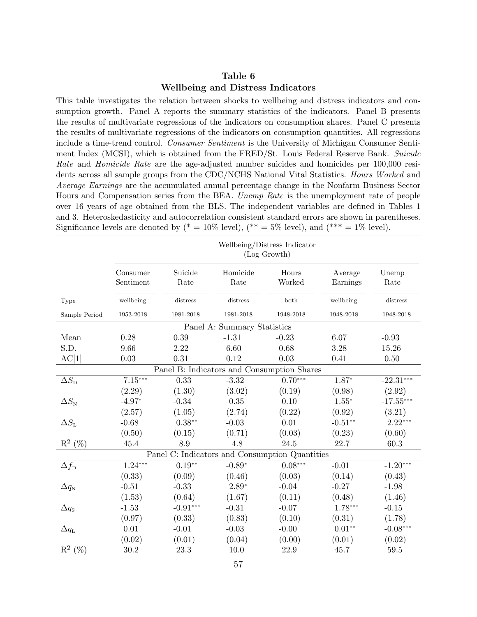### <span id="page-58-0"></span>Table 6 Wellbeing and Distress Indicators

This table investigates the relation between shocks to wellbeing and distress indicators and consumption growth. Panel A reports the summary statistics of the indicators. Panel B presents the results of multivariate regressions of the indicators on consumption shares. Panel C presents the results of multivariate regressions of the indicators on consumption quantities. All regressions include a time-trend control. Consumer Sentiment is the University of Michigan Consumer Sentiment Index (MCSI), which is obtained from the FRED/St. Louis Federal Reserve Bank. Suicide Rate and Homicide Rate are the age-adjusted number suicides and homicides per 100,000 residents across all sample groups from the CDC/NCHS National Vital Statistics. Hours Worked and Average Earnings are the accumulated annual percentage change in the Nonfarm Business Sector Hours and Compensation series from the BEA. Unemp Rate is the unemployment rate of people over 16 years of age obtained from the BLS. The independent variables are defined in Tables [1](#page-52-0) and [3.](#page-55-0) Heteroskedasticity and autocorrelation consistent standard errors are shown in parentheses. Significance levels are denoted by (\* =  $10\%$  level), (\*\* =  $5\%$  level), and (\*\*\* =  $1\%$  level).

|                                            | Wellbeing/Distress Indicator<br>(Log Growth) |                 |                                                |                 |                     |               |  |  |  |  |
|--------------------------------------------|----------------------------------------------|-----------------|------------------------------------------------|-----------------|---------------------|---------------|--|--|--|--|
|                                            | Consumer<br>Sentiment                        | Suicide<br>Rate | Homicide<br>Rate                               | Hours<br>Worked | Average<br>Earnings | Unemp<br>Rate |  |  |  |  |
| Type                                       | wellbeing                                    | distress        | distress                                       | both            | wellbeing           | distress      |  |  |  |  |
| Sample Period                              | 1953-2018                                    | 1981-2018       | 1981-2018                                      | 1948-2018       | 1948-2018           | 1948-2018     |  |  |  |  |
|                                            |                                              |                 | Panel A: Summary Statistics                    |                 |                     |               |  |  |  |  |
| Mean                                       | 0.28                                         | 0.39            | $-1.31$                                        | $-0.23$         | 6.07                | $-0.93$       |  |  |  |  |
| S.D.                                       | 9.66                                         | 2.22            | 6.60                                           | 0.68            | 3.28                | 15.26         |  |  |  |  |
| AC[1]                                      | $0.03\,$                                     | 0.31            | 0.12                                           | 0.03            | 0.41                | 0.50          |  |  |  |  |
| Panel B: Indicators and Consumption Shares |                                              |                 |                                                |                 |                     |               |  |  |  |  |
| $\Delta S_{\rm D}$                         | $7.15***$                                    | 0.33            | $-3.32$                                        | $0.70***$       | $1.87*$             | $-22.31***$   |  |  |  |  |
|                                            | (2.29)                                       | (1.30)          | (3.02)                                         | (0.19)          | (0.98)              | (2.92)        |  |  |  |  |
| $\Delta S_{\text{N}}$                      | $-4.97*$                                     | $-0.34$         | 0.35                                           | 0.10            | $1.55*$             | $-17.55***$   |  |  |  |  |
|                                            | (2.57)                                       | (1.05)          | (2.74)                                         | (0.22)          | (0.92)              | (3.21)        |  |  |  |  |
| $\Delta S_{\text{\tiny L}}$                | $-0.68$                                      | $0.38**$        | $-0.03$                                        | 0.01            | $-0.51**$           | $2.22***$     |  |  |  |  |
|                                            | (0.50)                                       | (0.15)          | (0.71)                                         | (0.03)          | (0.23)              | (0.60)        |  |  |  |  |
| $\mathbb{R}^2$ (%)                         | 45.4                                         | 8.9             | 4.8                                            | 24.5            | 22.7                | 60.3          |  |  |  |  |
|                                            |                                              |                 | Panel C: Indicators and Consumption Quantities |                 |                     |               |  |  |  |  |
| $\Delta f_{\rm D}$                         | $1.24***$                                    | $0.19**$        | $-0.89*$                                       | $0.08***$       | $-0.01$             | $-1.20***$    |  |  |  |  |
|                                            | (0.33)                                       | (0.09)          | (0.46)                                         | (0.03)          | (0.14)              | (0.43)        |  |  |  |  |
| $\Delta q_{\text{N}}$                      | $-0.51$                                      | $-0.33$         | $2.89*$                                        | $-0.04$         | $-0.27$             | $-1.98$       |  |  |  |  |
|                                            | (1.53)                                       | (0.64)          | (1.67)                                         | (0.11)          | (0.48)              | (1.46)        |  |  |  |  |
| $\Delta q_{\rm S}$                         | $-1.53$                                      | $-0.91***$      | $-0.31$                                        | $-0.07$         | $1.78***$           | $-0.15$       |  |  |  |  |
|                                            | (0.97)                                       | (0.33)          | (0.83)                                         | (0.10)          | (0.31)              | (1.78)        |  |  |  |  |
| $\Delta q_{\text{L}}$                      | $0.01\,$                                     | $-0.01$         | $-0.03$                                        | $-0.00$         | $0.01**$            | $-0.08***$    |  |  |  |  |
|                                            | (0.02)                                       | (0.01)          | (0.04)                                         | (0.00)          | (0.01)              | (0.02)        |  |  |  |  |
| $\mathbb{R}^2$ (%)                         | 30.2                                         | 23.3            | 10.0                                           | 22.9            | 45.7                | 59.5          |  |  |  |  |